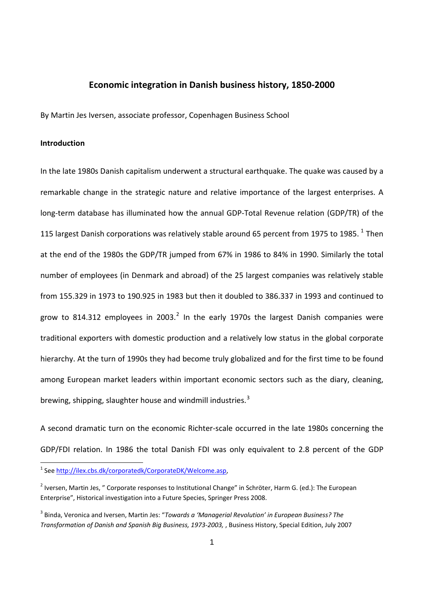# **Economic integration in Danish business history, 1850‐2000**

By Martin Jes Iversen, associate professor, Copenhagen Business School

### **Introduction**

In the late 1980s Danish capitalism underwent a structural earthquake. The quake was caused by a remarkable change in the strategic nature and relative importance of the largest enterprises. A long-term database has illuminated how the annual GDP-Total Revenue relation (GDP/TR) of the [1](#page-0-0)15 largest Danish corporations was relatively stable around 65 percent from 1975 to 1985.  $^{1}$  Then at the end of the 1980s the GDP/TR jumped from 67% in 1986 to 84% in 1990. Similarly the total number of employees (in Denmark and abroad) of the 25 largest companies was relatively stable from 155.329 in 1973 to 190.925 in 1983 but then it doubled to 386.337 in 1993 and continued to grow to 814.31[2](#page-0-1) employees in 2003.<sup>2</sup> In the early 1970s the largest Danish companies were traditional exporters with domestic production and a relatively low status in the global corporate hierarchy. At the turn of 1990s they had become truly globalized and for the first time to be found among European market leaders within important economic sectors such as the diary, cleaning, brewing, shipping, slaughter house and windmill industries.<sup>[3](#page-0-2)</sup>

A second dramatic turn on the economic Richter‐scale occurred in the late 1980s concerning the GDP/FDI relation. In 1986 the total Danish FDI was only equivalent to 2.8 percent of the GDP

<span id="page-0-0"></span><sup>1</sup> See <http://ilex.cbs.dk/corporatedk/CorporateDK/Welcome.asp>,

<span id="page-0-1"></span><sup>&</sup>lt;sup>2</sup> Iversen, Martin Jes, " Corporate responses to Institutional Change" in Schröter, Harm G. (ed.): The European Enterprise", Historical investigation into a Future Species, Springer Press 2008.

<span id="page-0-2"></span><sup>3</sup> Binda, Veronica and Iversen, Martin Jes: "*Towards a 'Managerial Revolution' in European Business? The Transformation of Danish and Spanish Big Business, 1973‐2003,* , Business History, Special Edition, July 2007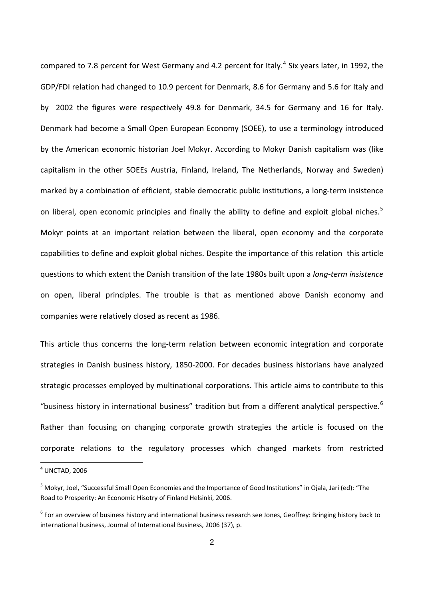compared to 7.8 percent for West Germany and [4](#page-1-0).2 percent for Italy.<sup>4</sup> Six years later, in 1992, the GDP/FDI relation had changed to 10.9 percent for Denmark, 8.6 for Germany and 5.6 for Italy and by 2002 the figures were respectively 49.8 for Denmark, 34.5 for Germany and 16 for Italy. Denmark had become a Small Open European Economy (SOEE), to use a terminology introduced by the American economic historian Joel Mokyr. According to Mokyr Danish capitalism was (like capitalism in the other SOEEs Austria, Finland, Ireland, The Netherlands, Norway and Sweden) marked by a combination of efficient, stable democratic public institutions, a long-term insistence on liberal, open economic principles and finally the ability to define and exploit global niches.<sup>[5](#page-1-1)</sup> Mokyr points at an important relation between the liberal, open economy and the corporate capabilities to define and exploit global niches. Despite the importance of this relation this article questions to which extent the Danish transition of the late 1980s built upon a *long‐term insistence* on open, liberal principles. The trouble is that as mentioned above Danish economy and companies were relatively closed as recent as 1986.

This article thus concerns the long-term relation between economic integration and corporate strategies in Danish business history, 1850‐2000. For decades business historians have analyzed strategic processes employed by multinational corporations. This article aims to contribute to this "business history in international business" tradition but from a different analytical perspective.<sup>[6](#page-1-2)</sup> Rather than focusing on changing corporate growth strategies the article is focused on the corporate relations to the regulatory processes which changed markets from restricted

<span id="page-1-0"></span> $4$  UNCTAD, 2006

<span id="page-1-1"></span><sup>&</sup>lt;sup>5</sup> Mokyr, Joel, "Successful Small Open Economies and the Importance of Good Institutions" in Ojala, Jari (ed): "The Road to Prosperity: An Economic Hisotry of Finland Helsinki, 2006.

<span id="page-1-2"></span><sup>&</sup>lt;sup>6</sup> For an overview of business history and international business research see Jones, Geoffrey: Bringing history back to international business, Journal of International Business, 2006 (37), p.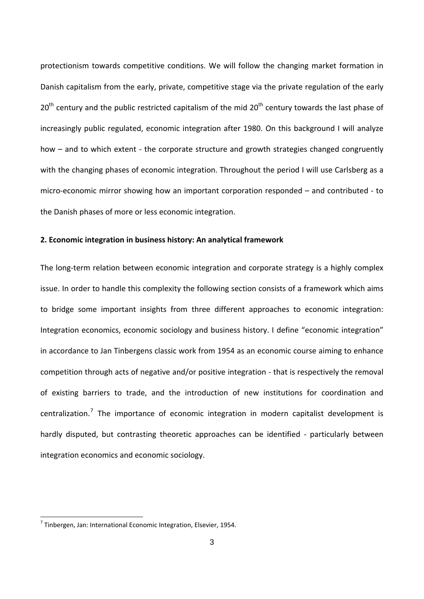protectionism towards competitive conditions. We will follow the changing market formation in Danish capitalism from the early, private, competitive stage via the private regulation of the early  $20<sup>th</sup>$  century and the public restricted capitalism of the mid  $20<sup>th</sup>$  century towards the last phase of increasingly public regulated, economic integration after 1980. On this background I will analyze how – and to which extent - the corporate structure and growth strategies changed congruently with the changing phases of economic integration. Throughout the period I will use Carlsberg as a micro‐economic mirror showing how an important corporation responded – and contributed ‐ to the Danish phases of more or less economic integration.

## **2. Economic integration in business history: An analytical framework**

The long-term relation between economic integration and corporate strategy is a highly complex issue. In order to handle this complexity the following section consists of a framework which aims to bridge some important insights from three different approaches to economic integration: Integration economics, economic sociology and business history. I define "economic integration" in accordance to Jan Tinbergens classic work from 1954 as an economic course aiming to enhance competition through acts of negative and/or positive integration ‐ that is respectively the removal of existing barriers to trade, and the introduction of new institutions for coordination and centralization.<sup>[7](#page-2-0)</sup> The importance of economic integration in modern capitalist development is hardly disputed, but contrasting theoretic approaches can be identified - particularly between integration economics and economic sociology.

<span id="page-2-0"></span> $<sup>7</sup>$  Tinbergen, Jan: International Economic Integration, Elsevier, 1954.</sup>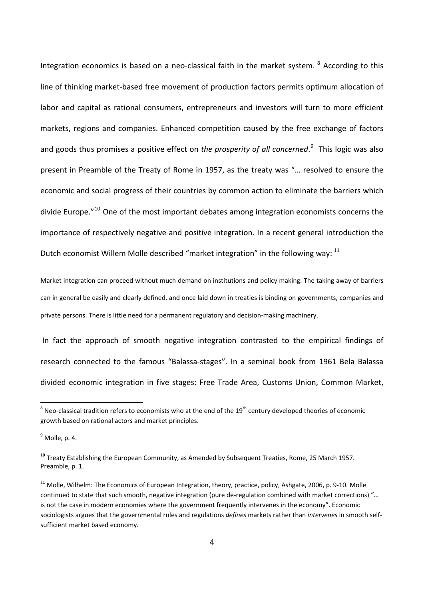Integration economics is based on a neo-classical faith in the market system. <sup>[8](#page-3-0)</sup> According to this line of thinking market‐based free movement of production factors permits optimum allocation of labor and capital as rational consumers, entrepreneurs and investors will turn to more efficient markets, regions and companies. Enhanced competition caused by the free exchange of factors and goods thus promises a positive effect on *the prosperity of all concerned*. [9](#page-3-1) This logic was also present in Preamble of the Treaty of Rome in 1957, as the treaty was "… resolved to ensure the economic and social progress of their countries by common action to eliminate the barriers which divide Europe.<sup>"[10](#page-3-2)</sup> One of the most important debates among integration economists concerns the importance of respectively negative and positive integration. In a recent general introduction the Dutch economist Willem Molle described "market integration" in the following way: <sup>[11](#page-3-3)</sup>

Market integration can proceed without much demand on institutions and policy making. The taking away of barriers can in general be easily and clearly defined, and once laid down in treaties is binding on governments, companies and private persons. There is little need for a permanent regulatory and decision-making machinery.

In fact the approach of smooth negative integration contrasted to the empirical findings of research connected to the famous "Balassa‐stages". In a seminal book from 1961 Bela Balassa divided economic integration in five stages: Free Trade Area, Customs Union, Common Market,

<span id="page-3-0"></span> $^8$  Neo-classical tradition refers to economists who at the end of the 19<sup>th</sup> century developed theories of economic growth based on rational actors and market principles.

<span id="page-3-1"></span> $<sup>9</sup>$  Molle, p. 4.</sup>

<span id="page-3-2"></span>**<sup>10</sup>** Treaty Establishing the European Community, as Amended by Subsequent Treaties, Rome, 25 March 1957. Preamble, p. 1.

<span id="page-3-3"></span><sup>&</sup>lt;sup>11</sup> Molle, Wilhelm: The Economics of European Integration, theory, practice, policy, Ashgate, 2006, p. 9-10. Molle continued to state that such smooth, negative integration (pure de-regulation combined with market corrections) "... is not the case in modern economies where the government frequently intervenes in the economy". Economic sociologists argues that the governmental rules and regulations *defines* markets rather than *intervenes* in smooth self‐ sufficient market based economy.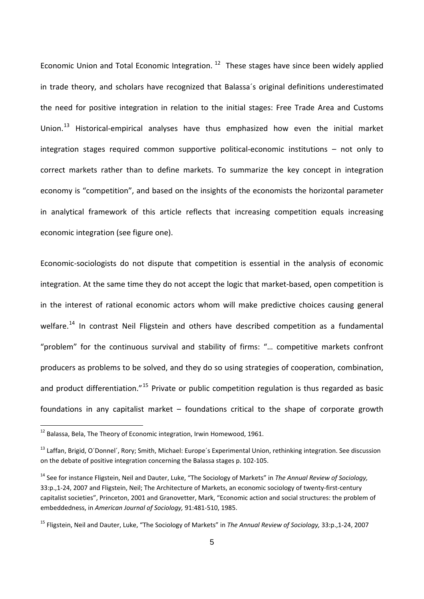economic integration (see figure one). Economic Union and Total Economic Integration.<sup>[12](#page-4-0)</sup> These stages have since been widely applied in trade theory, and scholars have recognized that Balassa´s original definitions underestimated the need for positive integration in relation to the initial stages: Free Trade Area and Customs Union.<sup>[13](#page-4-1)</sup> Historical-empirical analyses have thus emphasized how even the initial market integration stages required common supportive political‐economic institutions – not only to correct markets rather than to define markets. To summarize the key concept in integration economy is "competition", and based on the insights of the economists the horizontal parameter in analytical framework of this article reflects that increasing competition equals increasing

Economic‐sociologists do not dispute that competition is essential in the analysis of economic integration. At the same time they do not accept the logic that market-based, open competition is in the interest of rational economic actors whom will make predictive choices causing general welfare.<sup>[14](#page-4-2)</sup> In contrast Neil Fligstein and others have described competition as a fundamental "problem" for the continuous survival and stability of firms: "… competitive markets confront producers as problems to be solved, and they do so using strategies of cooperation, combination, and product differentiation."<sup>[15](#page-4-3)</sup> Private or public competition regulation is thus regarded as basic foundations in any capitalist market – foundations critical to the shape of corporate growth

<span id="page-4-0"></span> $^{12}$  Balassa, Bela, The Theory of Economic integration, Irwin Homewood, 1961.

<span id="page-4-1"></span><sup>&</sup>lt;sup>13</sup> Laffan, Brigid, O'Donnel', Rory; Smith, Michael: Europe's Experimental Union, rethinking integration. See discussion on the debate of positive integration concerning the Balassa stages p. 102‐105.

<span id="page-4-2"></span><sup>14</sup> See for instance Fligstein, Neil and Dauter, Luke, "The Sociology of Markets" in *The Annual Review of Sociology,* 33:p.,1‐24, 2007 and Fligstein, Neil; The Architecture of Markets, an economic sociology of twenty‐first‐century capitalist societies", Princeton, 2001 and Granovetter, Mark, "Economic action and social structures: the problem of embeddedness, in *American Journal of Sociology,* 91:481‐510, 1985.

<span id="page-4-3"></span><sup>15</sup> Fligstein, Neil and Dauter, Luke, "The Sociology of Markets" in *The Annual Review of Sociology,* 33:p.,1‐24, 2007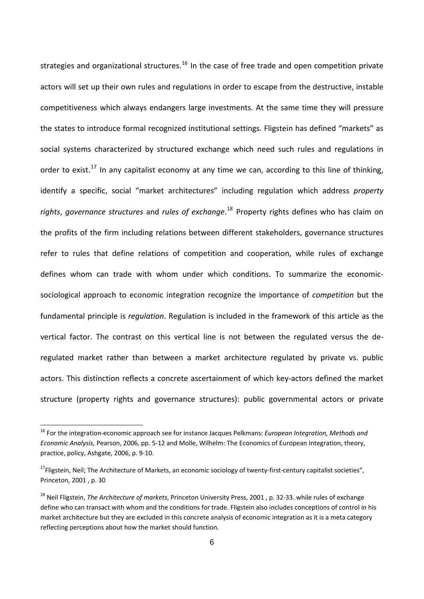strategies and organizational structures.<sup>[16](#page-5-0)</sup> In the case of free trade and open competition private actors will set up their own rules and regulations in order to escape from the destructive, instable competitiveness which always endangers large investments. At the same time they will pressure the states to introduce formal recognized institutional settings. Fligstein has defined "markets" as social systems characterized by structured exchange which need such rules and regulations in order to exist.<sup>[17](#page-5-1)</sup> In any capitalist economy at any time we can, according to this line of thinking, identify a specific, social "market architectures" including regulation which address *property rights*, *governance structures* and *rules of exchange*. [18](#page-5-2) Property rights defines who has claim on the profits of the firm including relations between different stakeholders, governance structures refer to rules that define relations of competition and cooperation, while rules of exchange defines whom can trade with whom under which conditions. To summarize the economic‐ sociological approach to economic integration recognize the importance of *competition* but the fundamental principle is *regulation*. Regulation is included in the framework of this article as the vertical factor. The contrast on this vertical line is not between the regulated versus the de‐ regulated market rather than between a market architecture regulated by private vs. public actors. This distinction reflects a concrete ascertainment of which key‐actors defined the market structure (property rights and governance structures): public governmental actors or private

<span id="page-5-0"></span><sup>16</sup> For the integration‐economic approach see for instance Jacques Pelkmans: *European Integration, Methods and Economic Analysis*, Pearson, 2006, pp. 5‐12 and Molle, Wilhelm: The Economics of European Integration, theory, practice, policy, Ashgate, 2006, p. 9‐10.

<span id="page-5-1"></span><sup>&</sup>lt;sup>17</sup>Fligstein, Neil; The Architecture of Markets, an economic sociology of twenty-first-century capitalist societies", Princeton, 2001 , p. 30

<span id="page-5-2"></span><sup>18</sup> Neil Fligstein, *The Architecture of markets*, Princeton University Press, 2001 , p. 32‐33. while rules of exchange define who can transact with whom and the conditions for trade. Fligstein also includes conceptions of control in his market architecture but they are excluded in this concrete analysis of economic integration as it is a meta category reflecting perceptions about how the market should function.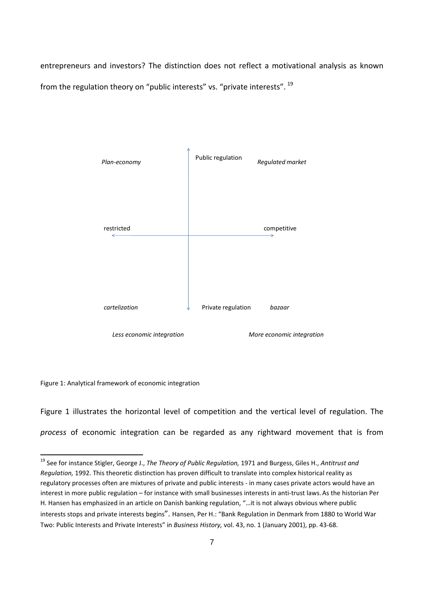entrepreneurs and investors? The distinction does not reflect a motivational analysis as known from the regulation theory on "public interests" vs. "private interests". <sup>[19](#page-6-0)</sup>



Figure 1: Analytical framework of economic integration

Figure 1 illustrates the horizontal level of competition and the vertical level of regulation. The *process* of economic integration can be regarded as any rightward movement that is from

<span id="page-6-0"></span><sup>19</sup> See for instance Stigler, George J., *The Theory of Public Regulation,* 1971 and Burgess, Giles H., *Antitrust and Regulation,* 1992. This theoretic distinction has proven difficult to translate into complex historical reality as regulatory processes often are mixtures of private and public interests ‐ in many cases private actors would have an interest in more public regulation – for instance with small businesses interests in anti-trust laws. As the historian Per H. Hansen has emphasized in an article on Danish banking regulation, "…it is not always obvious where public interests stops and private interests begins". Hansen, Per H.: "Bank Regulation in Denmark from 1880 to World War Two: Public Interests and Private Interests" in *Business History,* vol. 43, no. 1 (January 2001), pp. 43‐68.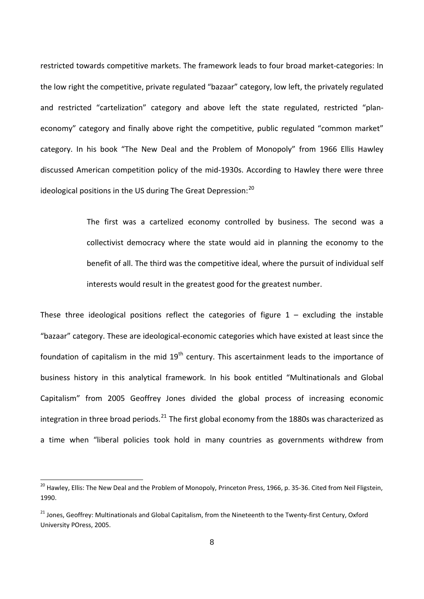restricted towards competitive markets. The framework leads to four broad market‐categories: In the low right the competitive, private regulated "bazaar" category, low left, the privately regulated and restricted "cartelization" category and above left the state regulated, restricted "planeconomy" category and finally above right the competitive, public regulated "common market" category. In his book "The New Deal and the Problem of Monopoly" from 1966 Ellis Hawley discussed American competition policy of the mid‐1930s. According to Hawley there were three ideological positions in the US during The Great Depression: $^{20}$  $^{20}$  $^{20}$ 

> The first was a cartelized economy controlled by business. The second was a collectivist democracy where the state would aid in planning the economy to the benefit of all. The third was the competitive ideal, where the pursuit of individual self interests would result in the greatest good for the greatest number.

These three ideological positions reflect the categories of figure  $1 -$  excluding the instable "bazaar" category. These are ideological‐economic categories which have existed at least since the foundation of capitalism in the mid 19<sup>th</sup> century. This ascertainment leads to the importance of business history in this analytical framework. In his book entitled "Multinationals and Global Capitalism" from 2005 Geoffrey Jones divided the global process of increasing economic integration in three broad periods. $^{21}$  $^{21}$  $^{21}$  The first global economy from the 1880s was characterized as a time when "liberal policies took hold in many countries as governments withdrew from

<span id="page-7-0"></span><sup>&</sup>lt;sup>20</sup> Hawley, Ellis: The New Deal and the Problem of Monopoly, Princeton Press, 1966, p. 35-36. Cited from Neil Fligstein, 1990.

<span id="page-7-1"></span><sup>&</sup>lt;sup>21</sup> Jones, Geoffrey: Multinationals and Global Capitalism, from the Nineteenth to the Twenty-first Century, Oxford University POress, 2005.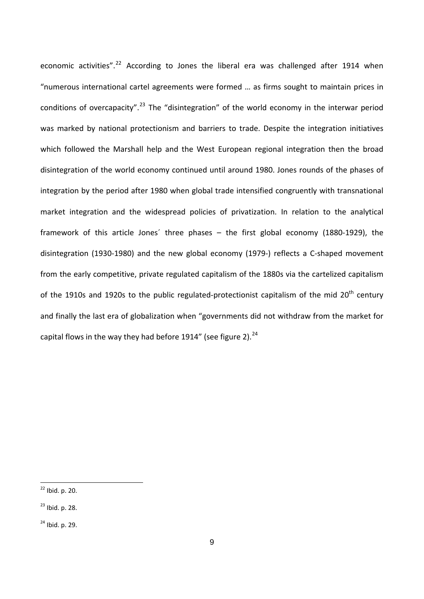economic activities".<sup>[22](#page-8-0)</sup> According to Jones the liberal era was challenged after 1914 when "numerous international cartel agreements were formed … as firms sought to maintain prices in conditions of overcapacity".[23](#page-8-1) The "disintegration" of the world economy in the interwar period was marked by national protectionism and barriers to trade. Despite the integration initiatives which followed the Marshall help and the West European regional integration then the broad disintegration of the world economy continued until around 1980. Jones rounds of the phases of integration by the period after 1980 when global trade intensified congruently with transnational market integration and the widespread policies of privatization. In relation to the analytical framework of this article Jones´ three phases – the first global economy (1880‐1929), the disintegration (1930‐1980) and the new global economy (1979‐) reflects a C‐shaped movement from the early competitive, private regulated capitalism of the 1880s via the cartelized capitalism of the 1910s and 1920s to the public regulated-protectionist capitalism of the mid  $20<sup>th</sup>$  century and finally the last era of globalization when "governments did not withdraw from the market for capital flows in the way they had before 1914" (see figure 2). $^{24}$  $^{24}$  $^{24}$ 

<span id="page-8-0"></span><sup>22</sup> Ibid. p. 20.

<span id="page-8-1"></span><sup>23</sup> Ibid. p. 28.

<span id="page-8-2"></span> $24$  Ibid. p. 29.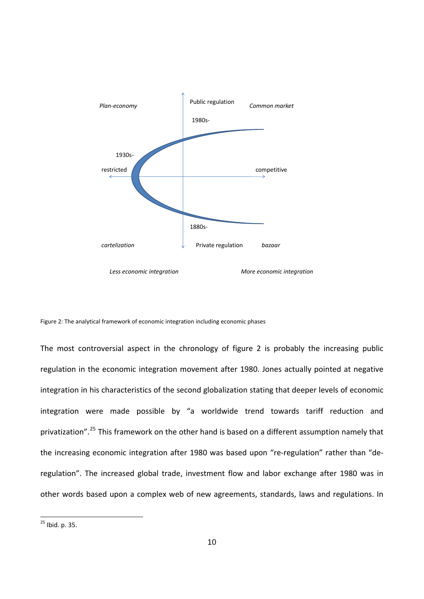

Figure 2: The analytical framework of economic integration including economic phases

The most controversial aspect in the chronology of figure 2 is probably the increasing public regulation in the economic integration movement after 1980. Jones actually pointed at negative integration in his characteristics of the second globalization stating that deeper levels of economic integration were made possible by "a worldwide trend towards tariff reduction and privatization".<sup>[25](#page-9-0)</sup> This framework on the other hand is based on a different assumption namely that the increasing economic integration after 1980 was based upon "re-regulation" rather than "deregulation". The increased global trade, investment flow and labor exchange after 1980 was in other words based upon a complex web of new agreements, standards, laws and regulations. In

<span id="page-9-0"></span><sup>25</sup> Ibid. p. 35.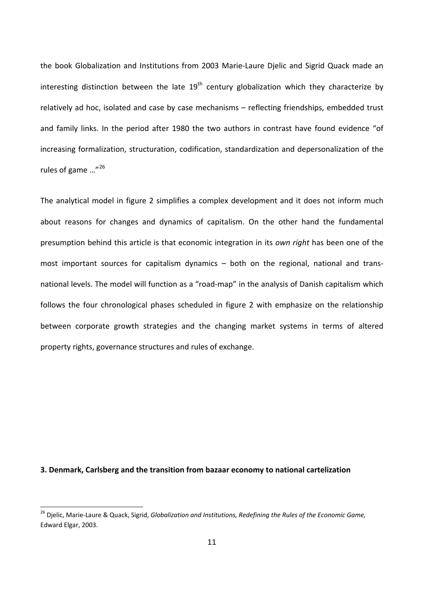the book Globalization and Institutions from 2003 Marie‐Laure Djelic and Sigrid Quack made an interesting distinction between the late  $19<sup>th</sup>$  century globalization which they characterize by relatively ad hoc, isolated and case by case mechanisms – reflecting friendships, embedded trust and family links. In the period after 1980 the two authors in contrast have found evidence "of increasing formalization, structuration, codification, standardization and depersonalization of the rules of game ..."<sup>[26](#page-10-0)</sup>

The analytical model in figure 2 simplifies a complex development and it does not inform much about reasons for changes and dynamics of capitalism. On the other hand the fundamental presumption behind this article is that economic integration in its *own right* has been one of the most important sources for capitalism dynamics – both on the regional, national and transnational levels. The model will function as a "road‐map" in the analysis of Danish capitalism which follows the four chronological phases scheduled in figure 2 with emphasize on the relationship between corporate growth strategies and the changing market systems in terms of altered property rights, governance structures and rules of exchange.

#### **3. Denmark, Carlsberg and the transition from bazaar economy to national cartelization**

<span id="page-10-0"></span><sup>26</sup> Djelic, Marie‐Laure & Quack, Sigrid, *Globalization and Institutions, Redefining the Rules of the Economic Game,* Edward Elgar, 2003.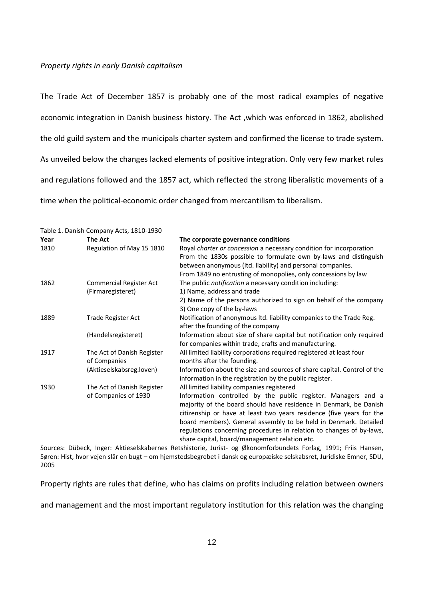#### *Property rights in early Danish capitalism*

The Trade Act of December 1857 is probably one of the most radical examples of negative economic integration in Danish business history. The Act ,which was enforced in 1862, abolished the old guild system and the municipals charter system and confirmed the license to trade system. As unveiled below the changes lacked elements of positive integration. Only very few market rules and regulations followed and the 1857 act, which reflected the strong liberalistic movements of a time when the political‐economic order changed from mercantilism to liberalism.

|      | Table 1. Danish Company Acts, 1810-1930 |                                                                         |
|------|-----------------------------------------|-------------------------------------------------------------------------|
| Year | The Act                                 | The corporate governance conditions                                     |
| 1810 | Regulation of May 15 1810               | Royal charter or concession a necessary condition for incorporation     |
|      |                                         | From the 1830s possible to formulate own by-laws and distinguish        |
|      |                                         | between anonymous (Itd. liability) and personal companies.              |
|      |                                         | From 1849 no entrusting of monopolies, only concessions by law          |
| 1862 | <b>Commercial Register Act</b>          | The public notification a necessary condition including:                |
|      | (Firmaregisteret)                       | 1) Name, address and trade                                              |
|      |                                         | 2) Name of the persons authorized to sign on behalf of the company      |
|      |                                         | 3) One copy of the by-laws                                              |
| 1889 | Trade Register Act                      | Notification of anonymous ltd. liability companies to the Trade Reg.    |
|      |                                         | after the founding of the company                                       |
|      | (Handelsregisteret)                     | Information about size of share capital but notification only required  |
|      |                                         | for companies within trade, crafts and manufacturing.                   |
| 1917 | The Act of Danish Register              | All limited liability corporations required registered at least four    |
|      | of Companies                            | months after the founding.                                              |
|      | (Aktieselskabsreg.loven)                | Information about the size and sources of share capital. Control of the |
|      |                                         | information in the registration by the public register.                 |
| 1930 | The Act of Danish Register              | All limited liability companies registered                              |
|      | of Companies of 1930                    | Information controlled by the public register. Managers and a           |
|      |                                         | majority of the board should have residence in Denmark, be Danish       |
|      |                                         | citizenship or have at least two years residence (five years for the    |
|      |                                         | board members). General assembly to be held in Denmark. Detailed        |
|      |                                         | regulations concerning procedures in relation to changes of by-laws,    |
|      |                                         | share capital, board/management relation etc.                           |

Sources: Dübeck, Inger: Aktieselskabernes Retshistorie, Jurist‐ og Økonomforbundets Forlag, 1991; Friis Hansen, Søren: Hist, hvor vejen slår en bugt – om hjemstedsbegrebet i dansk og europæiske selskabsret, Juridiske Emner, SDU, 2005

Property rights are rules that define, who has claims on profits including relation between owners

and management and the most important regulatory institution for this relation was the changing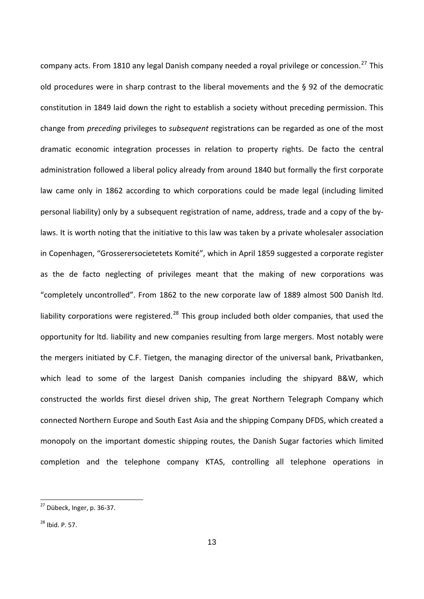company acts. From 1810 any legal Danish company needed a royal privilege or concession.<sup>[27](#page-12-0)</sup> This old procedures were in sharp contrast to the liberal movements and the § 92 of the democratic constitution in 1849 laid down the right to establish a society without preceding permission. This change from *preceding* privileges to *subsequent* registrations can be regarded as one of the most dramatic economic integration processes in relation to property rights. De facto the central administration followed a liberal policy already from around 1840 but formally the first corporate law came only in 1862 according to which corporations could be made legal (including limited personal liability) only by a subsequent registration of name, address, trade and a copy of the by‐ laws. It is worth noting that the initiative to this law was taken by a private wholesaler association in Copenhagen, "Grosserersocietetets Komité", which in April 1859 suggested a corporate register as the de facto neglecting of privileges meant that the making of new corporations was "completely uncontrolled". From 1862 to the new corporate law of 1889 almost 500 Danish ltd. liability corporations were registered.<sup>[28](#page-12-1)</sup> This group included both older companies, that used the opportunity for ltd. liability and new companies resulting from large mergers. Most notably were the mergers initiated by C.F. Tietgen, the managing director of the universal bank, Privatbanken, which lead to some of the largest Danish companies including the shipyard B&W, which constructed the worlds first diesel driven ship, The great Northern Telegraph Company which connected Northern Europe and South East Asia and the shipping Company DFDS, which created a monopoly on the important domestic shipping routes, the Danish Sugar factories which limited completion and the telephone company KTAS, controlling all telephone operations in

<span id="page-12-0"></span><sup>&</sup>lt;sup>27</sup> Dübeck, Inger, p. 36-37.

<span id="page-12-1"></span><sup>28</sup> Ibid. P. 57.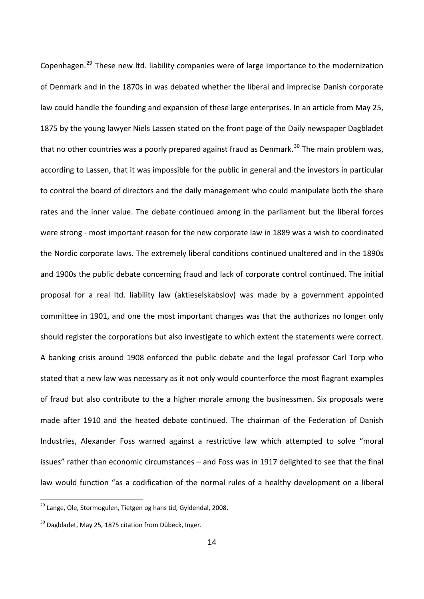Copenhagen.[29](#page-13-0) These new ltd. liability companies were of large importance to the modernization of Denmark and in the 1870s in was debated whether the liberal and imprecise Danish corporate law could handle the founding and expansion of these large enterprises. In an article from May 25, 1875 by the young lawyer Niels Lassen stated on the front page of the Daily newspaper Dagbladet that no other countries was a poorly prepared against fraud as Denmark.<sup>[30](#page-13-1)</sup> The main problem was, according to Lassen, that it was impossible for the public in general and the investors in particular to control the board of directors and the daily management who could manipulate both the share rates and the inner value. The debate continued among in the parliament but the liberal forces were strong ‐ most important reason for the new corporate law in 1889 was a wish to coordinated the Nordic corporate laws. The extremely liberal conditions continued unaltered and in the 1890s and 1900s the public debate concerning fraud and lack of corporate control continued. The initial proposal for a real ltd. liability law (aktieselskabslov) was made by a government appointed committee in 1901, and one the most important changes was that the authorizes no longer only should register the corporations but also investigate to which extent the statements were correct. A banking crisis around 1908 enforced the public debate and the legal professor Carl Torp who stated that a new law was necessary as it not only would counterforce the most flagrant examples of fraud but also contribute to the a higher morale among the businessmen. Six proposals were made after 1910 and the heated debate continued. The chairman of the Federation of Danish Industries, Alexander Foss warned against a restrictive law which attempted to solve "moral issues" rather than economic circumstances – and Foss was in 1917 delighted to see that the final law would function "as a codification of the normal rules of a healthy development on a liberal

<span id="page-13-0"></span><sup>&</sup>lt;sup>29</sup> Lange, Ole, Stormogulen, Tietgen og hans tid, Gyldendal, 2008.

<span id="page-13-1"></span><sup>&</sup>lt;sup>30</sup> Dagbladet, May 25, 1875 citation from Dübeck, Inger.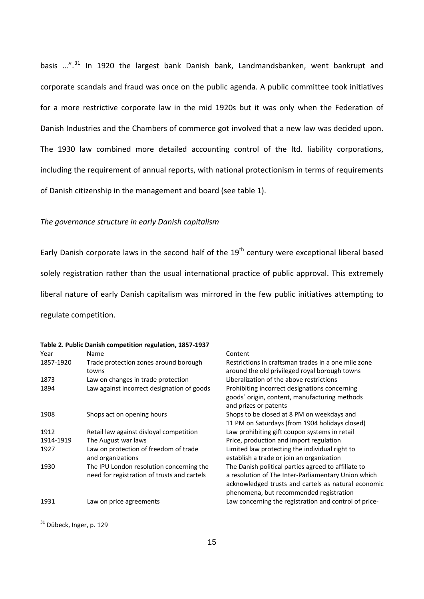of Danish citizenship in the management and board (see table 1). basis …".[31](#page-14-0) In 1920 the largest bank Danish bank, Landmandsbanken, went bankrupt and corporate scandals and fraud was once on the public agenda. A public committee took initiatives for a more restrictive corporate law in the mid 1920s but it was only when the Federation of Danish Industries and the Chambers of commerce got involved that a new law was decided upon. The 1930 law combined more detailed accounting control of the ltd. liability corporations, including the requirement of annual reports, with national protectionism in terms of requirements

#### *The governance structure in early Danish capitalism*

Early Danish corporate laws in the second half of the 19<sup>th</sup> century were exceptional liberal based solely registration rather than the usual international practice of public approval. This extremely liberal nature of early Danish capitalism was mirrored in the few public initiatives attempting to regulate competition.

| Year      | Table 2. Public Danish competition regulation, 1857-1937<br>Name                        | Content                                                                                                                                                                                                      |
|-----------|-----------------------------------------------------------------------------------------|--------------------------------------------------------------------------------------------------------------------------------------------------------------------------------------------------------------|
| 1857-1920 | Trade protection zones around borough<br>towns                                          | Restrictions in craftsman trades in a one mile zone<br>around the old privileged royal borough towns                                                                                                         |
| 1873      | Law on changes in trade protection                                                      | Liberalization of the above restrictions                                                                                                                                                                     |
| 1894      | Law against incorrect designation of goods                                              | Prohibiting incorrect designations concerning<br>goods' origin, content, manufacturing methods<br>and prizes or patents                                                                                      |
| 1908      | Shops act on opening hours                                                              | Shops to be closed at 8 PM on weekdays and<br>11 PM on Saturdays (from 1904 holidays closed)                                                                                                                 |
| 1912      | Retail law against disloyal competition                                                 | Law prohibiting gift coupon systems in retail                                                                                                                                                                |
| 1914-1919 | The August war laws                                                                     | Price, production and import regulation                                                                                                                                                                      |
| 1927      | Law on protection of freedom of trade<br>and organizations                              | Limited law protecting the individual right to<br>establish a trade or join an organization                                                                                                                  |
| 1930      | The IPU London resolution concerning the<br>need for registration of trusts and cartels | The Danish political parties agreed to affiliate to<br>a resolution of The Inter-Parliamentary Union which<br>acknowledged trusts and cartels as natural economic<br>phenomena, but recommended registration |
| 1931      | Law on price agreements                                                                 | Law concerning the registration and control of price-                                                                                                                                                        |

<span id="page-14-0"></span> $^{31}$  Dübeck, Inger, p. 129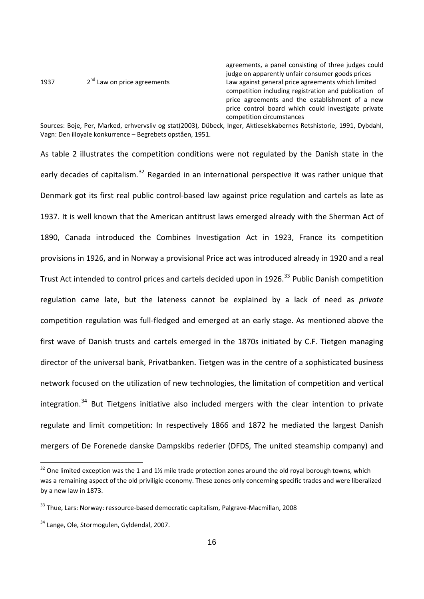agreements, a panel consisting of three judges could judge on apparently unfair consumer goods prices<br>
2<sup>nd</sup> Law on price agreements<br>
Law against general price agreements which limite 1937  $2^{nd}$  Law on price agreements  $2^{nd}$  Law against general price agreements which limited competition including registration and publication of price agreements and the establishment of a new price control board which could investigate private competition circumstances

Sources: Boje, Per, Marked, erhvervsliv og stat(2003), Dübeck, Inger, Aktieselskabernes Retshistorie, 1991, Dybdahl, Vagn: Den illoyale konkurrence – Begrebets opståen, 1951.

As table 2 illustrates the competition conditions were not regulated by the Danish state in the early decades of capitalism.<sup>[32](#page-15-0)</sup> Regarded in an international perspective it was rather unique that Denmark got its first real public control‐based law against price regulation and cartels as late as 1937. It is well known that the American antitrust laws emerged already with the Sherman Act of 1890, Canada introduced the Combines Investigation Act in 1923, France its competition provisions in 1926, and in Norway a provisional Price act was introduced already in 1920 and a real Trust Act intended to control prices and cartels decided upon in 1926.<sup>[33](#page-15-1)</sup> Public Danish competition regulation came late, but the lateness cannot be explained by a lack of need as *private* competition regulation was full‐fledged and emerged at an early stage. As mentioned above the first wave of Danish trusts and cartels emerged in the 1870s initiated by C.F. Tietgen managing director of the universal bank, Privatbanken. Tietgen was in the centre of a sophisticated business network focused on the utilization of new technologies, the limitation of competition and vertical integration.<sup>[34](#page-15-2)</sup> But Tietgens initiative also included mergers with the clear intention to private regulate and limit competition: In respectively 1866 and 1872 he mediated the largest Danish mergers of De Forenede danske Dampskibs rederier (DFDS, The united steamship company) and

<span id="page-15-0"></span> $32$  One limited exception was the 1 and 1% mile trade protection zones around the old royal borough towns, which was a remaining aspect of the old priviligie economy. These zones only concerning specific trades and were liberalized by a new law in 1873.

<span id="page-15-1"></span><sup>&</sup>lt;sup>33</sup> Thue, Lars: Norway: ressource-based democratic capitalism, Palgrave-Macmillan, 2008

<span id="page-15-2"></span><sup>&</sup>lt;sup>34</sup> Lange, Ole, Stormogulen, Gyldendal, 2007.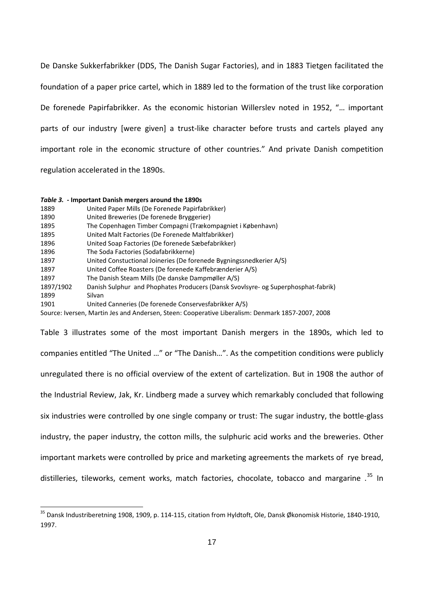De Danske Sukkerfabrikker (DDS, The Danish Sugar Factories), and in 1883 Tietgen facilitated the foundation of a paper price cartel, which in 1889 led to the formation of the trust like corporation De forenede Papirfabrikker. As the economic historian Willerslev noted in 1952, "… important parts of our industry [were given] a trust-like character before trusts and cartels played any important role in the economic structure of other countries." And private Danish competition regulation accelerated in the 1890s.

|           | Table 3. - Important Danish mergers around the 1890s                                             |
|-----------|--------------------------------------------------------------------------------------------------|
| 1889      | United Paper Mills (De Forenede Papirfabrikker)                                                  |
| 1890      | United Breweries (De forenede Bryggerier)                                                        |
| 1895      | The Copenhagen Timber Compagni (Trækompagniet i København)                                       |
| 1895      | United Malt Factories (De Forenede Maltfabrikker)                                                |
| 1896      | United Soap Factories (De forenede Sæbefabrikker)                                                |
| 1896      | The Soda Factories (Sodafabrikkerne)                                                             |
| 1897      | United Constuctional Joineries (De forenede Bygningssnedkerier A/S)                              |
| 1897      | United Coffee Roasters (De forenede Kaffebrænderier A/S)                                         |
| 1897      | The Danish Steam Mills (De danske Dampmøller A/S)                                                |
| 1897/1902 | Danish Sulphur and Phophates Producers (Dansk Svovlsyre- og Superphosphat-fabrik)                |
| 1899      | Silvan                                                                                           |
| 1901      | United Canneries (De forenede Conservesfabrikker A/S)                                            |
|           | Source: Iversen, Martin Jes and Andersen, Steen: Cooperative Liberalism: Denmark 1857-2007, 2008 |

Table 3 illustrates some of the most important Danish mergers in the 1890s, which led to companies entitled "The United …" or "The Danish…". As the competition conditions were publicly unregulated there is no official overview of the extent of cartelization. But in 1908 the author of the Industrial Review, Jak, Kr. Lindberg made a survey which remarkably concluded that following six industries were controlled by one single company or trust: The sugar industry, the bottle‐glass industry, the paper industry, the cotton mills, the sulphuric acid works and the breweries. Other important markets were controlled by price and marketing agreements the markets of rye bread, distilleries, tileworks, cement works, match factories, chocolate, tobacco and margarine .<sup>[35](#page-16-0)</sup> In

<span id="page-16-0"></span><sup>&</sup>lt;sup>35</sup> Dansk Industriberetning 1908, 1909, p. 114-115, citation from Hyldtoft, Ole, Dansk Økonomisk Historie, 1840-1910, 1997.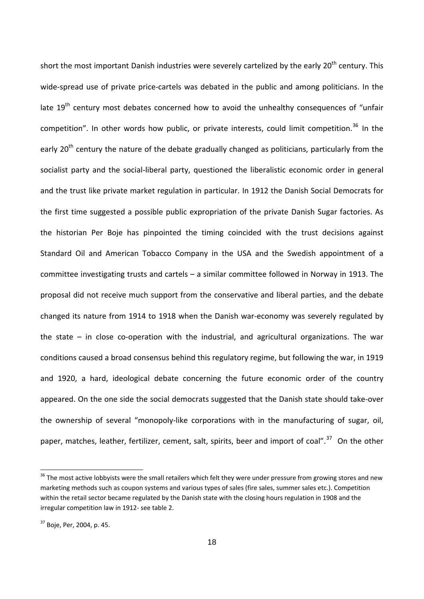short the most important Danish industries were severely cartelized by the early 20<sup>th</sup> century. This wide-spread use of private price-cartels was debated in the public and among politicians. In the late  $19<sup>th</sup>$  century most debates concerned how to avoid the unhealthy consequences of "unfair competition". In other words how public, or private interests, could limit competition.<sup>[36](#page-17-0)</sup> In the early 20<sup>th</sup> century the nature of the debate gradually changed as politicians, particularly from the socialist party and the social-liberal party, questioned the liberalistic economic order in general and the trust like private market regulation in particular. In 1912 the Danish Social Democrats for the first time suggested a possible public expropriation of the private Danish Sugar factories. As the historian Per Boje has pinpointed the timing coincided with the trust decisions against Standard Oil and American Tobacco Company in the USA and the Swedish appointment of a committee investigating trusts and cartels – a similar committee followed in Norway in 1913. The proposal did not receive much support from the conservative and liberal parties, and the debate changed its nature from 1914 to 1918 when the Danish war-economy was severely regulated by the state – in close co-operation with the industrial, and agricultural organizations. The war conditions caused a broad consensus behind this regulatory regime, but following the war, in 1919 and 1920, a hard, ideological debate concerning the future economic order of the country appeared. On the one side the social democrats suggested that the Danish state should take‐over the ownership of several "monopoly‐like corporations with in the manufacturing of sugar, oil, paper, matches, leather, fertilizer, cement, salt, spirits, beer and import of coal".<sup>[37](#page-17-1)</sup> On the other

<span id="page-17-0"></span> $36$  The most active lobbyists were the small retailers which felt they were under pressure from growing stores and new marketing methods such as coupon systems and various types of sales (fire sales, summer sales etc.). Competition within the retail sector became regulated by the Danish state with the closing hours regulation in 1908 and the irregular competition law in 1912‐ see table 2.

<span id="page-17-1"></span> $37$  Boje, Per, 2004, p. 45.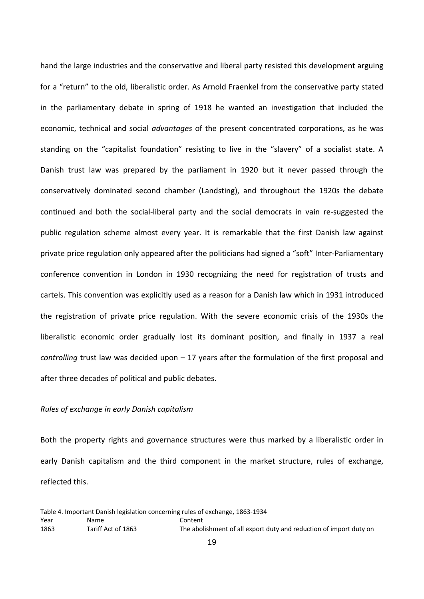hand the large industries and the conservative and liberal party resisted this development arguing for a "return" to the old, liberalistic order. As Arnold Fraenkel from the conservative party stated in the parliamentary debate in spring of 1918 he wanted an investigation that included the economic, technical and social *advantages* of the present concentrated corporations, as he was standing on the "capitalist foundation" resisting to live in the "slavery" of a socialist state. A Danish trust law was prepared by the parliament in 1920 but it never passed through the conservatively dominated second chamber (Landsting), and throughout the 1920s the debate continued and both the social‐liberal party and the social democrats in vain re‐suggested the public regulation scheme almost every year. It is remarkable that the first Danish law against private price regulation only appeared after the politicians had signed a "soft" Inter‐Parliamentary conference convention in London in 1930 recognizing the need for registration of trusts and cartels. This convention was explicitly used as a reason for a Danish law which in 1931 introduced the registration of private price regulation. With the severe economic crisis of the 1930s the liberalistic economic order gradually lost its dominant position, and finally in 1937 a real *controlling* trust law was decided upon – 17 years after the formulation of the first proposal and after three decades of political and public debates.

## *Rules of exchange in early Danish capitalism*

Both the property rights and governance structures were thus marked by a liberalistic order in early Danish capitalism and the third component in the market structure, rules of exchange, reflected this.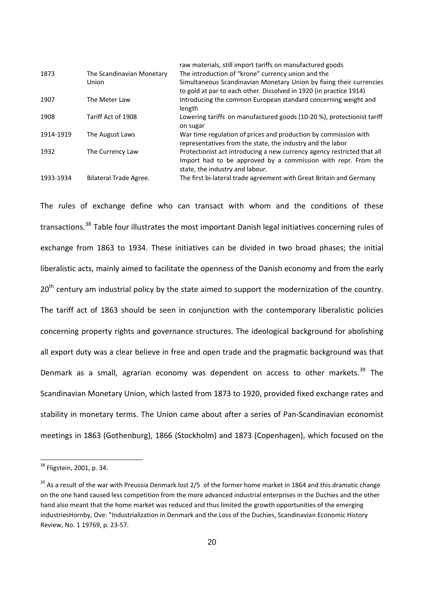|           |                           | raw materials, still import tarifis on manufactured goods               |
|-----------|---------------------------|-------------------------------------------------------------------------|
| 1873      | The Scandinavian Monetary | The introduction of "krone" currency union and the                      |
|           | Union                     | Simultaneous Scandinavian Monetary Union by fixing their currencies     |
|           |                           | to gold at par to each other. Dissolved in 1920 (in practice 1914)      |
| 1907      | The Meter Law             | Introducing the common European standard concerning weight and          |
|           |                           | length                                                                  |
| 1908      | Tariff Act of 1908        | Lowering tariffs on manufactured goods (10-20 %), protectionist tariff  |
|           |                           | on sugar                                                                |
| 1914-1919 | The August Laws           | War time regulation of prices and production by commission with         |
|           |                           | representatives from the state, the industry and the labor              |
| 1932      | The Currency Law          | Protectionist act introducing a new currency agency restricted that all |
|           |                           | Import had to be approved by a commission with repr. From the           |
|           |                           | state, the industry and labour.                                         |
| 1933-1934 | Bilateral Trade Agree.    | The first bi-lateral trade agreement with Great Britain and Germany     |

raw materials, still import tariffs on manufactured goods

The rules of exchange define who can transact with whom and the conditions of these transactions.[38](#page-19-0) Table four illustrates the most important Danish legal initiatives concerning rules of exchange from 1863 to 1934. These initiatives can be divided in two broad phases; the initial liberalistic acts, mainly aimed to facilitate the openness of the Danish economy and from the early 20<sup>th</sup> centurv am industrial policy by the state aimed to support the modernization of the country. The tariff act of 1863 should be seen in conjunction with the contemporary liberalistic policies concerning property rights and governance structures. The ideological background for abolishing all export duty was a clear believe in free and open trade and the pragmatic background was that Denmark as a small, agrarian economy was dependent on access to other markets.<sup>[39](#page-19-1)</sup> The Scandinavian Monetary Union, which lasted from 1873 to 1920, provided fixed exchange rates and stability in monetary terms. The Union came about after a series of Pan-Scandinavian economist meetings in 1863 (Gothenburg), 1866 (Stockholm) and 1873 (Copenhagen), which focused on the

<span id="page-19-0"></span><sup>&</sup>lt;sup>38</sup> Fligstein, 2001, p. 34.

<span id="page-19-1"></span><sup>&</sup>lt;sup>39</sup> As a result of the war with Preussia Denmark lost 2/5 of the former home market in 1864 and this dramatic change on the one hand caused less competition from the more advanced industrial enterprises in the Duchies and the other hand also meant that the home market was reduced and thus limited the growth opportunities of the emerging industriesHornby, Ove: "Industrialization in Denmark and the Loss of the Duchies, Scandinavian Economic History Review, No. 1 19769, p. 23‐57.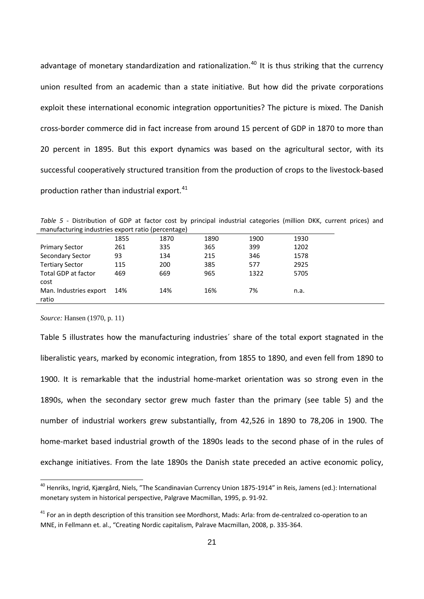advantage of monetary standardization and rationalization.<sup>[40](#page-20-0)</sup> It is thus striking that the currency union resulted from an academic than a state initiative. But how did the private corporations exploit these international economic integration opportunities? The picture is mixed. The Danish cross‐border commerce did in fact increase from around 15 percent of GDP in 1870 to more than 20 percent in 1895. But this export dynamics was based on the agricultural sector, with its successful cooperatively structured transition from the production of crops to the livestock‐based production rather than industrial export.<sup>[41](#page-20-1)</sup>

Table 5 - Distribution of GDP at factor cost by principal industrial categories (million DKK, current prices) and manufacturing industries export ratio (percentage)

|                                 | 1855 | 1870 | 1890 | 1900 | 1930 |
|---------------------------------|------|------|------|------|------|
| <b>Primary Sector</b>           | 261  | 335  | 365  | 399  | 1202 |
| <b>Secondary Sector</b>         | 93   | 134  | 215  | 346  | 1578 |
| <b>Tertiary Sector</b>          | 115  | 200  | 385  | 577  | 2925 |
| Total GDP at factor<br>cost     | 469  | 669  | 965  | 1322 | 5705 |
| Man. Industries export<br>ratio | 14%  | 14%  | 16%  | 7%   | n.a. |

*Source:* Hansen (1970, p. 11)

Table 5 illustrates how the manufacturing industries´ share of the total export stagnated in the liberalistic years, marked by economic integration, from 1855 to 1890, and even fell from 1890 to 1900. It is remarkable that the industrial home‐market orientation was so strong even in the 1890s, when the secondary sector grew much faster than the primary (see table 5) and the number of industrial workers grew substantially, from 42,526 in 1890 to 78,206 in 1900. The home‐market based industrial growth of the 1890s leads to the second phase of in the rules of exchange initiatives. From the late 1890s the Danish state preceded an active economic policy,

<span id="page-20-0"></span><sup>&</sup>lt;sup>40</sup> Henriks, Ingrid, Kjærgård, Niels, "The Scandinavian Currency Union 1875-1914" in Reis, Jamens (ed.): International monetary system in historical perspective, Palgrave Macmillan, 1995, p. 91‐92.

<span id="page-20-1"></span> $41$  For an in depth description of this transition see Mordhorst, Mads: Arla: from de-centralzed co-operation to an MNE, in Fellmann et. al., "Creating Nordic capitalism, Palrave Macmillan, 2008, p. 335‐364.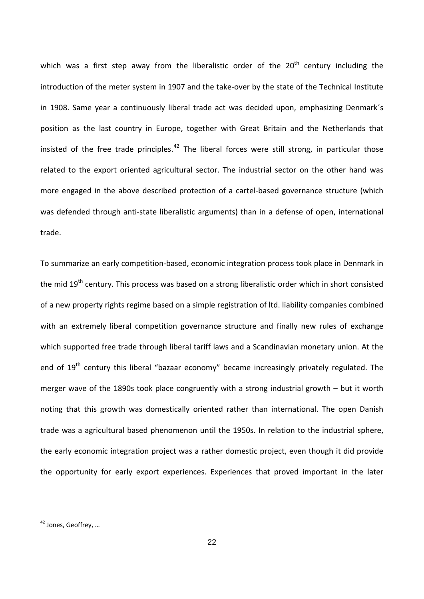trade. which was a first step away from the liberalistic order of the  $20<sup>th</sup>$  century including the introduction of the meter system in 1907 and the take‐over by the state of the Technical Institute in 1908. Same year a continuously liberal trade act was decided upon, emphasizing Denmark´s position as the last country in Europe, together with Great Britain and the Netherlands that insisted of the free trade principles.<sup>[42](#page-21-0)</sup> The liberal forces were still strong, in particular those related to the export oriented agricultural sector. The industrial sector on the other hand was more engaged in the above described protection of a cartel‐based governance structure (which was defended through anti‐state liberalistic arguments) than in a defense of open, international

To summarize an early competition‐based, economic integration process took place in Denmark in the mid 19<sup>th</sup> century. This process was based on a strong liberalistic order which in short consisted of a new property rights regime based on a simple registration of ltd. liability companies combined with an extremely liberal competition governance structure and finally new rules of exchange which supported free trade through liberal tariff laws and a Scandinavian monetary union. At the end of 19<sup>th</sup> centurv this liberal "bazaar economy" became increasingly privately regulated. The merger wave of the 1890s took place congruently with a strong industrial growth – but it worth noting that this growth was domestically oriented rather than international. The open Danish trade was a agricultural based phenomenon until the 1950s. In relation to the industrial sphere, the early economic integration project was a rather domestic project, even though it did provide the opportunity for early export experiences. Experiences that proved important in the later

<span id="page-21-0"></span><sup>&</sup>lt;sup>42</sup> Jones, Geoffrey, ...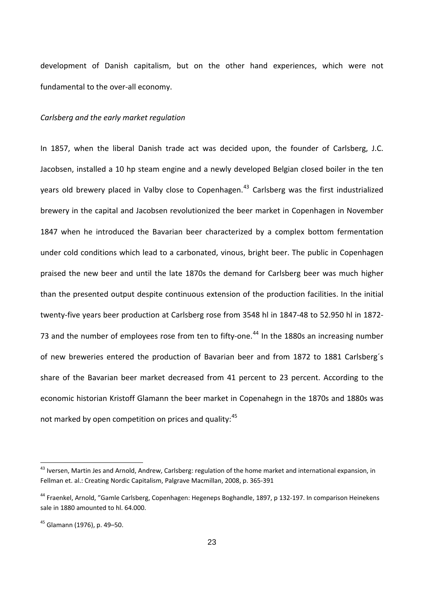development of Danish capitalism, but on the other hand experiences, which were not fundamental to the over‐all economy.

### *Carlsberg and the early market regulation*

In 1857, when the liberal Danish trade act was decided upon, the founder of Carlsberg, J.C. Jacobsen, installed a 10 hp steam engine and a newly developed Belgian closed boiler in the ten years old brewery placed in Valby close to Copenhagen.<sup>43</sup> Carlsberg was the first industrialized brewery in the capital and Jacobsen revolutionized the beer market in Copenhagen in November 1847 when he introduced the Bavarian beer characterized by a complex bottom fermentation under cold conditions which lead to a carbonated, vinous, bright beer. The public in Copenhagen praised the new beer and until the late 1870s the demand for Carlsberg beer was much higher than the presented output despite continuous extension of the production facilities. In the initial twenty‐five years beer production at Carlsberg rose from 3548 hl in 1847‐48 to 52.950 hl in 1872‐ 73 and the number of employees rose from ten to fifty-one.<sup>44</sup> In the 1880s an increasing number of new breweries entered the production of Bavarian beer and from 1872 to 1881 Carlsberg´s share of the Bavarian beer market decreased from 41 percent to 23 percent. According to the not marked by open competition on prices and quality:<sup>45</sup> economic historian Kristoff Glamann the beer market in Copenahegn in the 1870s and 1880s was

<sup>&</sup>lt;sup>43</sup> Iversen, Martin Jes and Arnold, Andrew, Carlsberg: regulation of the home market and international expansion, in Fellman et. al.: Creating Nordic Capitalism, Palgrave Macmillan, 2008, p. 365‐391

<sup>&</sup>lt;sup>44</sup> Fraenkel, Arnold, "Gamle Carlsberg, Copenhagen: Hegeneps Boghandle, 1897, p 132-197. In comparison Heinekens sale in 1880 amounted to hl. 64.000.

<sup>45</sup> Glamann (1976), p. 49–50.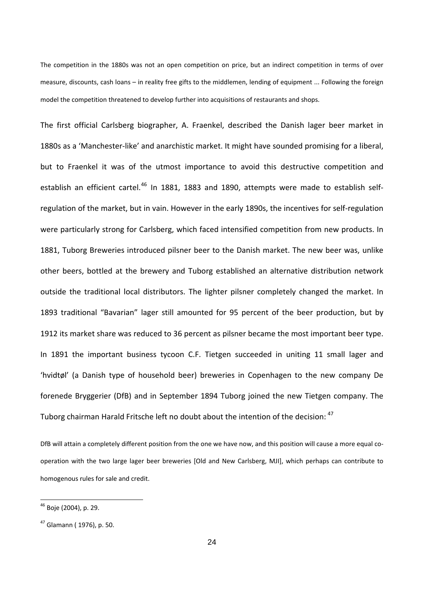model the competition threatened to develop further into acquisitions of restaurants and shops. The competition in the 1880s was not an open competition on price, but an indirect competition in terms of over measure, discounts, cash loans – in reality free gifts to the middlemen, lending of equipment ... Following the foreign

In 1891 the important business tycoon C.F. Tietgen succeeded in uniting 11 small lager and 'hvidtøl' (a Danish type of household beer) breweries in Copenhagen to the new company De Tuborg chairman Harald Fritsche left no doubt about the intention of the decision:  $^{47}$ The first official Carlsberg biographer, A. Fraenkel, described the Danish lager beer market in 1880s as a 'Manchester‐like' and anarchistic market. It might have sounded promising for a liberal, but to Fraenkel it was of the utmost importance to avoid this destructive competition and establish an efficient cartel.<sup>[46](#page-23-0)</sup> In 1881, 1883 and 1890, attempts were made to establish selfregulation of the market, but in vain. However in the early 1890s, the incentives for self‐regulation were particularly strong for Carlsberg, which faced intensified competition from new products. In 1881, Tuborg Breweries introduced pilsner beer to the Danish market. The new beer was, unlike other beers, bottled at the brewery and Tuborg established an alternative distribution network outside the traditional local distributors. The lighter pilsner completely changed the market. In 1893 traditional "Bavarian" lager still amounted for 95 percent of the beer production, but by 1912 its market share was reduced to 36 percent as pilsner became the most important beer type. forenede Bryggerier (DfB) and in September 1894 Tuborg joined the new Tietgen company. The

homogenous rules for sale and credit. DfB will attain a completely different position from the one we have now, and this position will cause a more equal co‐ operation with the two large lager beer breweries [Old and New Carlsberg, MJI], which perhaps can contribute to

<span id="page-23-0"></span><sup>46</sup> Boje (2004), p. 29.

<sup>47</sup> Glamann ( 1976), p. 50.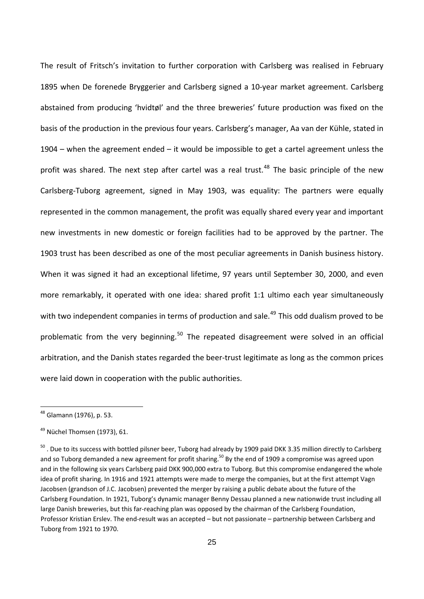with two independent companies in terms of production and sale.<sup>49</sup> This odd dualism proved to be problematic from the very beginning.<sup>50</sup> The repeated disagreement were solved in an official arbitration, and the Danish states regarded the beer‐trust legitimate as long as the common prices were laid down in cooperation with the public authorities. The result of Fritsch's invitation to further corporation with Carlsberg was realised in February 1895 when De forenede Bryggerier and Carlsberg signed a 10‐year market agreement. Carlsberg abstained from producing 'hvidtøl' and the three breweries' future production was fixed on the basis of the production in the previous four years. Carlsberg's manager, Aa van der Kühle, stated in 1904 – when the agreement ended – it would be impossible to get a cartel agreement unless the profit was shared. The next step after cartel was a real trust.<sup>[48](#page-24-0)</sup> The basic principle of the new Carlsberg‐Tuborg agreement, signed in May 1903, was equality: The partners were equally represented in the common management, the profit was equally shared every year and important new investments in new domestic or foreign facilities had to be approved by the partner. The 1903 trust has been described as one of the most peculiar agreements in Danish business history. When it was signed it had an exceptional lifetime, 97 years until September 30, 2000, and even more remarkably, it operated with one idea: shared profit 1:1 ultimo each year simultaneously

<span id="page-24-0"></span><sup>48</sup> Glamann (1976), p. 53.

<sup>&</sup>lt;sup>49</sup> Nüchel Thomsen (1973), 61.

<sup>&</sup>lt;sup>50</sup>. Due to its success with bottled pilsner beer, Tuborg had already by 1909 paid DKK 3.35 million directly to Carlsberg and so Tuborg demanded a new agreement for profit sharing.<sup>50</sup> By the end of 1909 a compromise was agreed upon and in the following six years Carlsberg paid DKK 900,000 extra to Tuborg. But this compromise endangered the whole idea of profit sharing. In 1916 and 1921 attempts were made to merge the companies, but at the first attempt Vagn Jacobsen (grandson of J.C. Jacobsen) prevented the merger by raising a public debate about the future of the Carlsberg Foundation. In 1921, Tuborg's dynamic manager Benny Dessau planned a new nationwide trust including all large Danish breweries, but this far-reaching plan was opposed by the chairman of the Carlsberg Foundation, Professor Kristian Erslev. The end‐result was an accepted – but not passionate – partnership between Carlsberg and Tuborg from 1921 to 1970.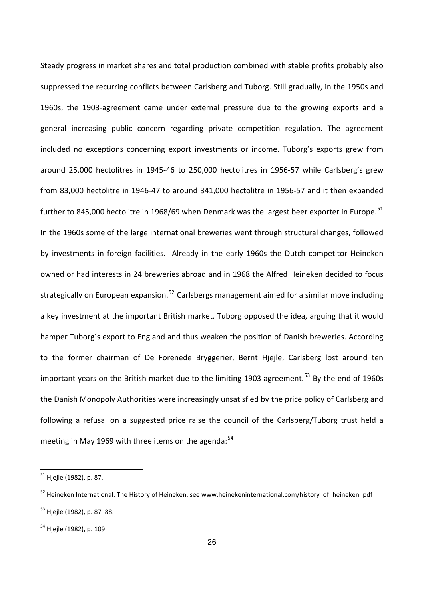important years on the British market due to the limiting 1903 agreement.<sup>53</sup> By the end of 1960s the Danish Monopoly Authorities were increasingly unsatisfied by the price policy of Carlsberg and following a refusal on a suggested price raise the council of the Carlsberg/Tuborg trust held a meeting in May 1969 with three items on the agenda: $54$ Steady progress in market shares and total production combined with stable profits probably also suppressed the recurring conflicts between Carlsberg and Tuborg. Still gradually, in the 1950s and 1960s, the 1903‐agreement came under external pressure due to the growing exports and a general increasing public concern regarding private competition regulation. The agreement included no exceptions concerning export investments or income. Tuborg's exports grew from around 25,000 hectolitres in 1945‐46 to 250,000 hectolitres in 1956‐57 while Carlsberg's grew from 83,000 hectolitre in 1946‐47 to around 341,000 hectolitre in 1956‐57 and it then expanded further to 845,000 hectolitre in 1968/69 when Denmark was the largest beer exporter in Europe.<sup>[51](#page-25-0)</sup> In the 1960s some of the large international breweries went through structural changes, followed by investments in foreign facilities. Already in the early 1960s the Dutch competitor Heineken owned or had interests in 24 breweries abroad and in 1968 the Alfred Heineken decided to focus strategically on European expansion.<sup>[52](#page-25-1)</sup> Carlsbergs management aimed for a similar move including a key investment at the important British market. Tuborg opposed the idea, arguing that it would hamper Tuborg´s export to England and thus weaken the position of Danish breweries. According to the former chairman of De Forenede Bryggerier, Bernt Hjejle, Carlsberg lost around ten

<sup>&</sup>lt;u> 1989 - Johann Barn, mars ar breis an t-</u> <sup>51</sup> Hjejle (1982), p. 87.

<span id="page-25-0"></span><sup>&</sup>lt;sup>52</sup> Heineken International: The History of Heineken, see www.heinekeninternational.com/history\_of\_heineken\_pdf <sup>53</sup> Hjejle (1982), p. 87–88.

<span id="page-25-1"></span>

<sup>&</sup>lt;sup>54</sup> Hjejle (1982), p. 109.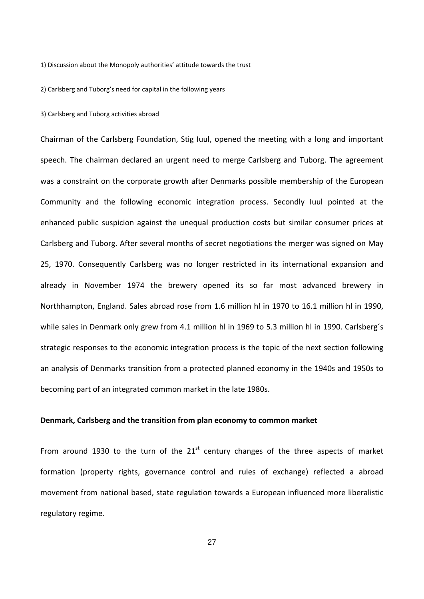1) Discussion about the Monopoly authorities' attitude towards the trust

2) Carlsberg and Tuborg's need for capital in the following years

3) Carlsberg and Tuborg activities abroad

Chairman of the Carlsberg Foundation, Stig Iuul, opened the meeting with a long and important speech. The chairman declared an urgent need to merge Carlsberg and Tuborg. The agreement was a constraint on the corporate growth after Denmarks possible membership of the European Community and the following economic integration process. Secondly Iuul pointed at the enhanced public suspicion against the unequal production costs but similar consumer prices at Carlsberg and Tuborg. After several months of secret negotiations the merger was signed on May 25, 1970. Consequently Carlsberg was no longer restricted in its international expansion and already in November 1974 the brewery opened its so far most advanced brewery in Northhampton, England. Sales abroad rose from 1.6 million hl in 1970 to 16.1 million hl in 1990, while sales in Denmark only grew from 4.1 million hl in 1969 to 5.3 million hl in 1990. Carlsberg´s strategic responses to the economic integration process is the topic of the next section following an analysis of Denmarks transition from a protected planned economy in the 1940s and 1950s to becoming part of an integrated common market in the late 1980s.

### **Denmark, Carlsberg and the transition from plan economy to common market**

From around 1930 to the turn of the  $21<sup>st</sup>$  century changes of the three aspects of market formation (property rights, governance control and rules of exchange) reflected a abroad movement from national based, state regulation towards a European influenced more liberalistic regulatory regime.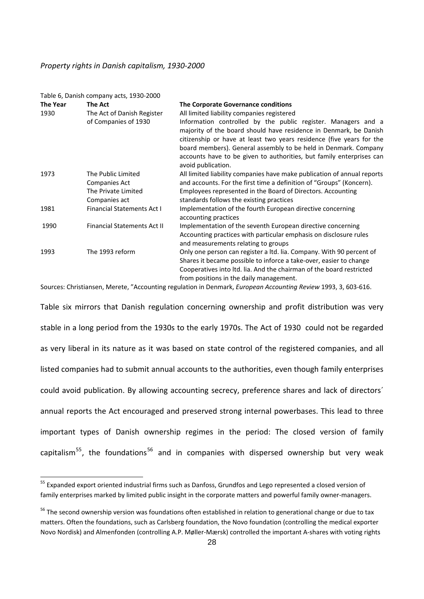#### *Property rights in Danish capitalism, 193 0‐2000*

|                 | Table 6, Danish company acts, 1930-2000 |                                                                                                                                                                                                                                                                                                                                                       |  |  |  |
|-----------------|-----------------------------------------|-------------------------------------------------------------------------------------------------------------------------------------------------------------------------------------------------------------------------------------------------------------------------------------------------------------------------------------------------------|--|--|--|
| <b>The Year</b> | The Act                                 | The Corporate Governance conditions                                                                                                                                                                                                                                                                                                                   |  |  |  |
| 1930            | The Act of Danish Register              | All limited liability companies registered                                                                                                                                                                                                                                                                                                            |  |  |  |
|                 | of Companies of 1930                    | Information controlled by the public register. Managers and a<br>majority of the board should have residence in Denmark, be Danish<br>citizenship or have at least two years residence (five years for the<br>board members). General assembly to be held in Denmark. Company<br>accounts have to be given to authorities, but family enterprises can |  |  |  |
|                 |                                         | avoid publication.                                                                                                                                                                                                                                                                                                                                    |  |  |  |
| 1973            | The Public Limited                      | All limited liability companies have make publication of annual reports                                                                                                                                                                                                                                                                               |  |  |  |
|                 | Companies Act                           | and accounts. For the first time a definition of "Groups" (Koncern).                                                                                                                                                                                                                                                                                  |  |  |  |
|                 | The Private Limited                     | Employees represented in the Board of Directors. Accounting                                                                                                                                                                                                                                                                                           |  |  |  |
|                 | Companies act                           | standards follows the existing practices                                                                                                                                                                                                                                                                                                              |  |  |  |
| 1981            | <b>Financial Statements Act I</b>       | Implementation of the fourth European directive concerning<br>accounting practices                                                                                                                                                                                                                                                                    |  |  |  |
| 1990            | <b>Financial Statements Act II</b>      | Implementation of the seventh European directive concerning                                                                                                                                                                                                                                                                                           |  |  |  |
|                 |                                         | Accounting practices with particular emphasis on disclosure rules<br>and measurements relating to groups                                                                                                                                                                                                                                              |  |  |  |
| 1993            | The 1993 reform                         | Only one person can register a ltd. lia. Company. With 90 percent of                                                                                                                                                                                                                                                                                  |  |  |  |
|                 |                                         | Shares it became possible to inforce a take-over, easier to change                                                                                                                                                                                                                                                                                    |  |  |  |
|                 |                                         | Cooperatives into Itd. Iia. And the chairman of the board restricted                                                                                                                                                                                                                                                                                  |  |  |  |
|                 |                                         | from positions in the daily management.                                                                                                                                                                                                                                                                                                               |  |  |  |

Sources: Christiansen, Merete, "Accounting regulation in Denmark, *European Accounting Review* 1993, 3, 603‐616.

annual reports the Act encouraged and preserved strong internal powerbases. This lead to three important types of Danish ownership regimes in the period: The closed version of family capitalism<sup>55</sup>, the foundations<sup>56</sup> and in companies with dispersed ownership but very weak Table six mirrors that Danish regulation concerning ownership and profit distribution was very stable in a long period from the 1930s to the early 1970s. The Act of 1930 could not be regarded as very liberal in its nature as it was based on state control of the registered companies, and all listed companies had to submit annual accounts to the authorities, even though family enterprises could avoid publication. By allowing accounting secrecy, preference shares and lack of directors´

<span id="page-27-0"></span> 55 Expanded export oriented industrial firms such as Danfoss, Grundfos and Lego represented a closed version of family enterprises marked by limited public insight in the corporate matters and powerful family owner-managers.

Novo Nordisk) and Almenfonden (controlling A.P. Møller-Mærsk) controlled the important A-shares with voting rights <sup>56</sup> The second ownership version was foundations often established in relation to generational change or due to tax matters. Often the foundations, such as Carlsberg foundation, the Novo foundation (controlling the medical exporter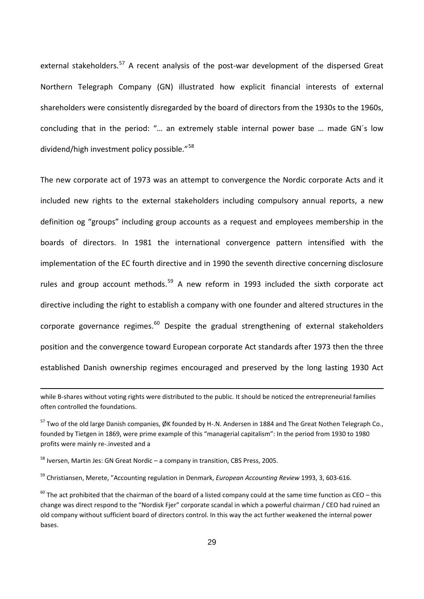dividend/high investment policy possible."<sup>58</sup> external stakeholders.<sup>[57](#page-27-0)</sup> A recent analysis of the post-war development of the dispersed Great Northern Telegraph Company (GN) illustrated how explicit financial interests of external shareholders were consistently disregarded by the board of directors from the 1930s to the 1960s, concluding that in the period: "… an extremely stable internal power base … made GN´s low

The new corporate act of 1973 was an attempt to convergence the Nordic corporate Acts and it included new rights to the external stakeholders including compulsory annual reports, a new definition og "groups" including group accounts as a request and employees membership in the boards of directors. In 1981 the international convergence pattern intensified with the implementation of the EC fourth directive and in 1990 the seventh directive concerning disclosure rules and group account methods.<sup>[59](#page-28-0)</sup> A new reform in 1993 included the sixth corporate act directive including the right to establish a company with one founder and altered structures in the corporate governance regimes. $^{60}$  $^{60}$  $^{60}$  Despite the gradual strengthening of external stakeholders position and the convergence toward European corporate Act standards after 1973 then the three established Danish ownership regimes encouraged and preserved by the long lasting 1930 Act

<u> 1989 - Andrea Santa Andrea Andrea Andrea Andrea Andrea Andrea Andrea Andrea Andrea Andrea Andrea Andrea Andr</u>

while B-shares without voting rights were distributed to the public. It should be noticed the entrepreneurial families often controlled the foundations.

<sup>57</sup> Two of the old large Danish companies, ØK founded by H‐.N. Andersen in 1884 and The Great Nothen Telegraph Co., founded by Tietgen in 1869, were prime example of this "managerial capitalism": In the period from 1930 to 1980 profits were mainly re‐.invested and a

 $58$  Iversen, Martin Jes: GN Great Nordic – a company in transition, CBS Press, 2005.

<span id="page-28-0"></span><sup>59</sup> Christiansen, Merete, "Accounting regulation in Denmark, *European Accounting Review* 1993, 3, 603‐616.

<span id="page-28-1"></span> $60$  The act prohibited that the chairman of the board of a listed company could at the same time function as CEO – this change was direct respond to the "Nordisk Fjer" corporate scandal in which a powerful chairman / CEO had ruined an old company without sufficient board of directors control. In this way the act further weakened the internal power bases.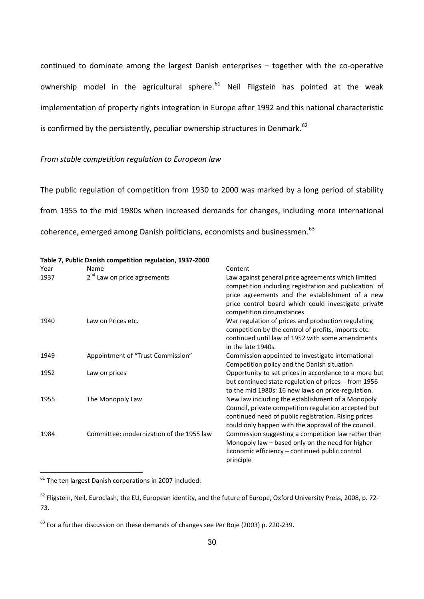implementation of property rights integration in Europe after 1992 and this national characteristic is confirmed by the persistently, peculiar ownership structures in Denmark.<sup>62</sup> continued to dominate among the largest Danish enterprises - together with the co-operative ownership model in the agricultural sphere.<sup>[61](#page-29-0)</sup> Neil Fligstein has pointed at the weak

## *From stable competition regulation to European law*

from 1955 to the mid 1980s when increased demands for changes, including more international coherence, emerged among Danish politicians, economists and businessmen.<sup>63</sup> The public regulation of competition from 1930 to 2000 was marked by a long period of stability

| Year | Name                                     | Content                                                                                                                                                                                                                                            |
|------|------------------------------------------|----------------------------------------------------------------------------------------------------------------------------------------------------------------------------------------------------------------------------------------------------|
| 1937 | 2 <sup>nd</sup> Law on price agreements  | Law against general price agreements which limited<br>competition including registration and publication of<br>price agreements and the establishment of a new<br>price control board which could investigate private<br>competition circumstances |
| 1940 | Law on Prices etc.                       | War regulation of prices and production regulating<br>competition by the control of profits, imports etc.<br>continued until law of 1952 with some amendments<br>in the late 1940s.                                                                |
| 1949 | Appointment of "Trust Commission"        | Commission appointed to investigate international<br>Competition policy and the Danish situation                                                                                                                                                   |
| 1952 | Law on prices                            | Opportunity to set prices in accordance to a more but<br>but continued state regulation of prices - from 1956<br>to the mid 1980s: 16 new laws on price-regulation.                                                                                |
| 1955 | The Monopoly Law                         | New law including the establishment of a Monopoly<br>Council, private competition regulation accepted but<br>continued need of public registration. Rising prices<br>could only happen with the approval of the council.                           |
| 1984 | Committee: modernization of the 1955 law | Commission suggesting a competition law rather than<br>Monopoly law – based only on the need for higher<br>Economic efficiency – continued public control<br>principle                                                                             |

#### **7, Public ‐2000 Table Danish competition regulation, 1937**

<span id="page-29-0"></span> $61$  The ten largest Danish corporations in 2007 included:

<sup>&</sup>lt;sup>62</sup> Fligstein, Neil, Euroclash, the EU, European identity, and the future of Europe, Oxford University Press, 2008, p. 72-73.

 $63$  For a further discussion on these demands of changes see Per Boje (2003) p. 220-239.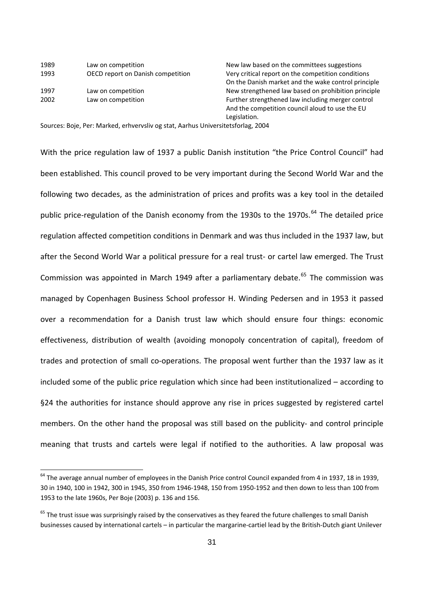| 1989 | Law on competition                | New law based on the committees suggestions        |
|------|-----------------------------------|----------------------------------------------------|
| 1993 | OECD report on Danish competition | Very critical report on the competition conditions |
|      |                                   | On the Danish market and the wake control princip  |
| 1997 | Law on competition                | New strengthened law based on prohibition princip  |
| 2002 | Law on competition                | Further strengthened law including merger control  |
|      |                                   |                                                    |

1997 Law on competition **inclusive State of the Street Connect Automobile** New strengthened law based on prohibition principle And the competition council aloud to use the EU Legislation. New law based on the committees suggestions n Very critical report on the competition conditions On the Danish market and the wake control principle

Sources: Boje, Per: Marked, erhvervsliv og stat, Aarhus Universitetsforlag, 2004

With the price regulation law of 1937 a public Danish institution "the Price Control Council" had been established. This council proved to be very important during the Second World War and the following two decades, as the administration of prices and profits was a key tool in the detailed public price-regulation of the Danish economy from the 1930s to the 1970s.<sup>[64](#page-30-0)</sup> The detailed price regulation affected competition conditions in Denmark and was thus included in the 1937 law, but after the Second World War a political pressure for a real trust- or cartel law emerged. The Trust Commission was appointed in March 1949 after a parliamentary debate.<sup>[65](#page-30-1)</sup> The commission was managed by Copenhagen Business School professor H. Winding Pedersen and in 1953 it passed over a recommendation for a Danish trust law which should ensure four things: economic effectiveness, distribution of wealth (avoiding monopoly concentration of capital), freedom of trades and protection of small co-operations. The proposal went further than the 1937 law as it included some of the public price regulation which since had been institutionalized – according to §24 the authorities for instance should approve any rise in prices suggested by registered cartel members. On the other hand the proposal was still based on the publicity- and control principle meaning that trusts and cartels were legal if notified to the authorities. A law proposal was

<span id="page-30-0"></span><sup>&</sup>lt;sup>64</sup> The average annual number of employees in the Danish Price control Council expanded from 4 in 1937, 18 in 1939, 30 in 1940, 100 in 1942, 300 in 1945, 350 from 1946‐1948, 150 from 1950‐1952 and then down to less than 100 from 1953 to the late 1960s, Per Boje (2003) p. 136 and 156.

<span id="page-30-1"></span> $65$  The trust issue was surprisingly raised by the conservatives as they feared the future challenges to small Danish businesses caused by international cartels – in particular the margarine‐cartiel lead by the British‐Dutch giant Unilever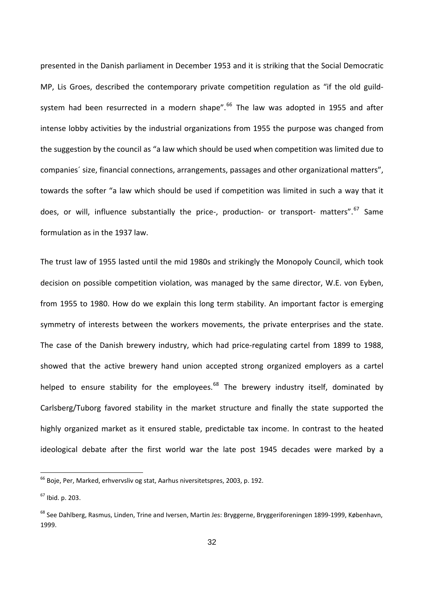does, or will, influence substantially the price-, production- or transport- matters".<sup>67</sup> Same formulation as in the 1937 law. presented in the Danish parliament in December 1953 and it is striking that the Social Democratic MP, Lis Groes, described the contemporary private competition regulation as "if the old guild-system had been resurrected in a modern shape".<sup>[66](#page-31-0)</sup> The law was adopted in 1955 and after intense lobby activities by the industrial organizations from 1955 the purpose was changed from the suggestion by the council as "a law which should be used when competition was limited due to companies´ size, financial connections, arrangements, passages and other organizational matters", towards the softer "a law which should be used if competition was limited in such a way that it

The trust law of 1955 lasted until the mid 1980s and strikingly the Monopoly Council, which took decision on possible competition violation, was managed by the same director, W.E. von Eyben, from 1955 to 1980. How do we explain this long term stability. An important factor is emerging symmetry of interests between the workers movements, the private enterprises and the state. The case of the Danish brewery industry, which had price-regulating cartel from 1899 to 1988, showed that the active brewery hand union accepted strong organized employers as a cartel helped to ensure stability for the employees. $^{68}$  $^{68}$  $^{68}$  The brewery industry itself, dominated by Carlsberg/Tuborg favored stability in the market structure and finally the state supported the highly organized market as it ensured stable, predictable tax income. In contrast to the heated ideological debate after the first world war the late post 1945 decades were marked by a

<span id="page-31-0"></span> $^{66}$  Boje, Per, Marked, erhvervsliv og stat, Aarhus niversitetspres, 2003, p. 192.

<sup>67</sup> Ibid. p. 203.

<span id="page-31-1"></span><sup>68</sup> See Dahlberg, Rasmus, Linden, Trine and Iversen, Martin Jes: Bryggerne, Bryggeriforeningen 1899‐1999, København, 1999.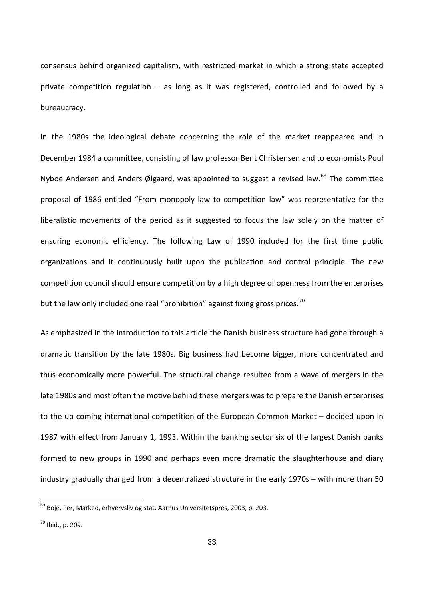private competition regulation – as long as it was registered, controlled and followed by a bureaucracy. consensus behind organized capitalism, with restricted market in which a strong state accepted

competition council should ensure competition by a high degree of openness from the enterprises but the law only included one real "prohibition" against fixing gross prices.<sup>70</sup> In the 1980s the ideological debate concerning the role of the market reappeared and in December 1984 a committee, consisting of law professor Bent Christensen and to economists Poul Nyboe Andersen and Anders Ølgaard, was appointed to suggest a revised law.<sup>[69](#page-32-0)</sup> The committee proposal of 1986 entitled "From monopoly law to competition law" was representative for the liberalistic movements of the period as it suggested to focus the law solely on the matter of ensuring economic efficiency. The following Law of 1990 included for the first time public organizations and it continuously built upon the publication and control principle. The new

As emphasized in the introduction to this article the Danish business structure had gone through a dramatic transition by the late 1980s. Big business had become bigger, more concentrated and thus economically more powerful. The structural change resulted from a wave of mergers in the late 1980s and most often the motive behind these mergers was to prepare the Danish enterprises to the up‐coming international competition of the European Common Market – decided upon in 1987 with effect from January 1, 1993. Within the banking sector six of the largest Danish banks formed to new groups in 1990 and perhaps even more dramatic the slaughterhouse and diary industry gradually changed from a decentralized structure in the early 1970s – with more than 50

<span id="page-32-0"></span> $^{69}$  Boje, Per, Marked, erhvervsliv og stat, Aarhus Universitetspres, 2003, p. 203.

<sup>70</sup> Ibid., p. 209.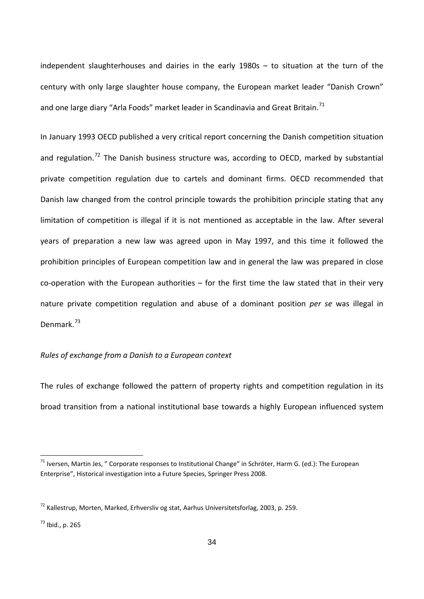century with only large slaughter house company, the European market leader "Danish Crown" and one large diary "Arla Foods" market leader in Scandinavia and Great Britain.<sup>71</sup> independent slaughterhouses and dairies in the early 1980s – to situation at the turn of the

nature private competition regulation and abuse of a dominant position *per se* was illegal in Denmark.<sup>73</sup> In January 1993 OECD published a very critical report concerning the Danish competition situation and regulation.<sup>[72](#page-33-0)</sup> The Danish business structure was, according to OECD, marked by substantial private competition regulation due to cartels and dominant firms. OECD recommended that Danish law changed from the control principle towards the prohibition principle stating that any limitation of competition is illegal if it is not mentioned as acceptable in the law. After several years of preparation a new law was agreed upon in May 1997, and this time it followed the prohibition principles of European competition law and in general the law was prepared in close  $co$ -operation with the European authorities – for the first time the law stated that in their very

## *Rules of exchange from a Danish to a European context*

The rules of exchange followed the pattern of property rights and competition regulation in its broad transition from a national institutional base towards a highly European influenced system

<sup>&</sup>lt;sup>71</sup> Iversen, Martin Jes, " Corporate responses to Institutional Change" in Schröter, Harm G. (ed.): The European Enterprise", Historical investigation into a Future Species, Springer Press 2008.

<span id="page-33-0"></span><sup>&</sup>lt;sup>72</sup> Kallestrup, Morten, Marked, Erhversliv og stat, Aarhus Universitetsforlag, 2003, p. 259.

 $^{73}$  Ibid., p. 265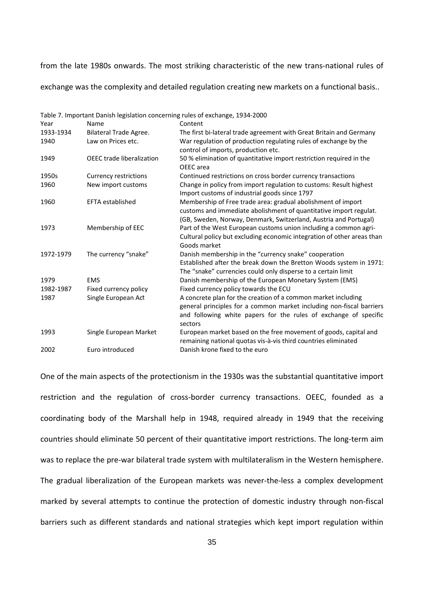from the late 1980s onwards. The most striking characteristic of the new trans-national rules of exchange was the complexity and detailed regulation creating new markets on a functional basis..

| Year      | Name                         | Content                                                                                                                                                                                                              |
|-----------|------------------------------|----------------------------------------------------------------------------------------------------------------------------------------------------------------------------------------------------------------------|
| 1933-1934 | Bilateral Trade Agree.       | The first bi-lateral trade agreement with Great Britain and Germany                                                                                                                                                  |
| 1940      | Law on Prices etc.           | War regulation of production regulating rules of exchange by the                                                                                                                                                     |
|           |                              | control of imports, production etc.                                                                                                                                                                                  |
| 1949      | OEEC trade liberalization    | 50 % elimination of quantitative import restriction required in the<br>OEEC area                                                                                                                                     |
| 1950s     | <b>Currency restrictions</b> | Continued restrictions on cross border currency transactions                                                                                                                                                         |
| 1960      | New import customs           | Change in policy from import regulation to customs: Result highest<br>Import customs of industrial goods since 1797                                                                                                  |
| 1960      | <b>EFTA established</b>      | Membership of Free trade area: gradual abolishment of import<br>customs and immediate abolishment of quantitative import regulat.<br>(GB, Sweden, Norway, Denmark, Switzerland, Austria and Portugal)                |
| 1973      | Membership of EEC            | Part of the West European customs union including a common agri-<br>Cultural policy but excluding economic integration of other areas than<br>Goods market                                                           |
| 1972-1979 | The currency "snake"         | Danish membership in the "currency snake" cooperation<br>Established after the break down the Bretton Woods system in 1971:<br>The "snake" currencies could only disperse to a certain limit                         |
| 1979      | <b>EMS</b>                   | Danish membership of the European Monetary System (EMS)                                                                                                                                                              |
| 1982-1987 | Fixed currency policy        | Fixed currency policy towards the ECU                                                                                                                                                                                |
| 1987      | Single European Act          | A concrete plan for the creation of a common market including<br>general principles for a common market including non-fiscal barriers<br>and following white papers for the rules of exchange of specific<br>sectors |
| 1993      | Single European Market       | European market based on the free movement of goods, capital and<br>remaining national quotas vis-à-vis third countries eliminated                                                                                   |
| 2002      | Euro introduced              | Danish krone fixed to the euro                                                                                                                                                                                       |

Table 7. Important Danish legislation concerning rules of exchange, 1934-2000

One of the main aspects of the protectionism in the 1930s was the substantial quantitative import restriction and the regulation of cross-border currency transactions. OEEC, founded as a coordinating body of the Marshall help in 1948, required already in 1949 that the receiving countries should eliminate 50 percent of their quantitative import restrictions. The long-term aim was to replace the pre-war bilateral trade system with multilateralism in the Western hemisphere. The gradual liberalization of the European markets was never-the-less a complex development marked by several attempts to continue the protection of domestic industry through non‐fiscal barriers such as different standards and national strategies which kept import regulation within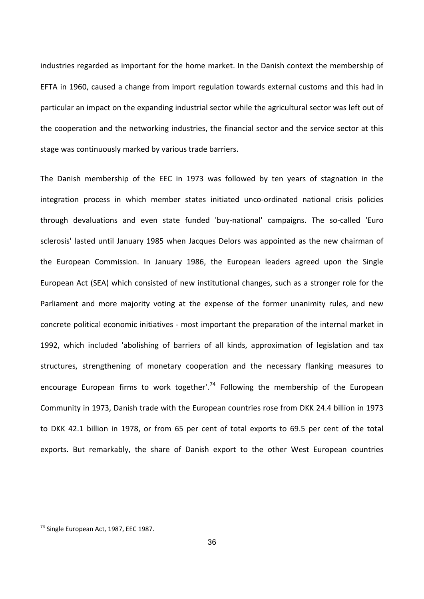particular an impact on the expanding industrial sector while the agricultural sector was left out of the cooperation and the networking industries, the financial sector and the service sector at this stage was continuously marked by various trade barriers. industries regarded as important for the home market. In the Danish context the membership of EFTA in 1960, caused a change from import regulation towards external customs and this had in

exports. But remarkably, the share of Danish export to the other West European countries The Danish membership of the EEC in 1973 was followed by ten years of stagnation in the integration process in which member states initiated unco-ordinated national crisis policies through devaluations and even state funded 'buy‐national' campaigns. The so‐called 'Euro sclerosis' lasted until January 1985 when Jacques Delors was appointed as the new chairman of the European Commission. In January 1986, the European leaders agreed upon the Single European Act (SEA) which consisted of new institutional changes, such as a stronger role for the Parliament and more majority voting at the expense of the former unanimity rules, and new concrete political economic initiatives ‐ most important the preparation of the internal market in 1992, which included 'abolishing of barriers of all kinds, approximation of legislation and tax structures, strengthening of monetary cooperation and the necessary flanking measures to encourage European firms to work together'.<sup>[74](#page-35-0)</sup> Following the membership of the European Community in 1973, Danish trade with the European countries rose from DKK 24.4 billion in 1973 to DKK 42.1 billion in 1978, or from 65 per cent of total exports to 69.5 per cent of the total

<span id="page-35-0"></span> <sup>74</sup> Single European Act, 1987, EEC 1987.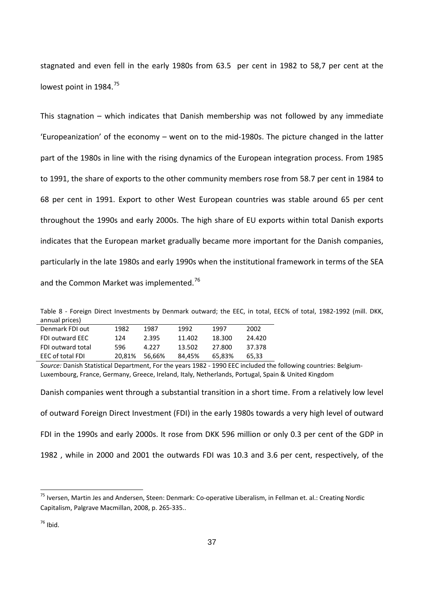stagnated and even fell in the early 1980s from 63.5 per cent in 1982 to 58,7 per cent at the lowest point in 1984.<sup>[75](#page-36-0)</sup>

This stagnation – which indicates that Danish membership was not followed by any immediate 'Europeanization' of the economy – went on to the mid‐1980s. The picture changed in the latter part of the 1980s in line with the rising dynamics of the European integration process. From 1985 to 1991, the share of exports to the other community members rose from 58.7 per cent in 1984 to 68 per cent in 1991. Export to other West European countries was stable around 65 per cent throughout the 1990s and early 2000s. The high share of EU exports within total Danish exports indicates that the European market gradually became more important for the Danish companies, and the Common Market was implemented.<sup>76</sup> particularly in the late 1980s and early 1990s when the institutional framework in terms of the SEA

Table 8 - Foreign Direct Investments by Denmark outward; the EEC, in total, EEC% of total, 1982-1992 (mill. DKK, annual prices)

| Denmark FDI out        | 1982   | 1987   | 1992   | 1997   | 2002   |
|------------------------|--------|--------|--------|--------|--------|
| <b>FDI outward EEC</b> | 124    | 2.395  | 11.402 | 18.300 | 24.420 |
| FDI outward total      | 596    | 4.227  | 13.502 | 27.800 | 37.378 |
| EEC of total FDI       | 20.81% | 56.66% | 84.45% | 65.83% | 65.33  |

*Source:* Danish Statistical Department, For the years 1982 ‐ 1990 EEC included the following countries: Belgium‐ Luxembourg, France, Germany, Greece, Ireland, Italy, Netherlands, Portugal, Spain & United Kingdom

Danish companies went through a substantial transition in a short time. From a relatively low level of outward Foreign Direct Investment (FDI) in the early 1980s towards a very high level of outward FDI in the 1990s and early 2000s. It rose from DKK 596 million or only 0.3 per cent of the GDP in 1982 , while in 2000 and 2001 the outwards FDI was 10.3 and 3.6 per cent, respectively, of the

<sup>&</sup>lt;sup>75</sup> Iversen, Martin Jes and Andersen, Steen: Denmark: Co-operative Liberalism, in Fellman et. al.: Creating Nordic Capitalism, Palgrave Macmillan, 2008, p. 265‐335..

<span id="page-36-0"></span> $76$  Ibid.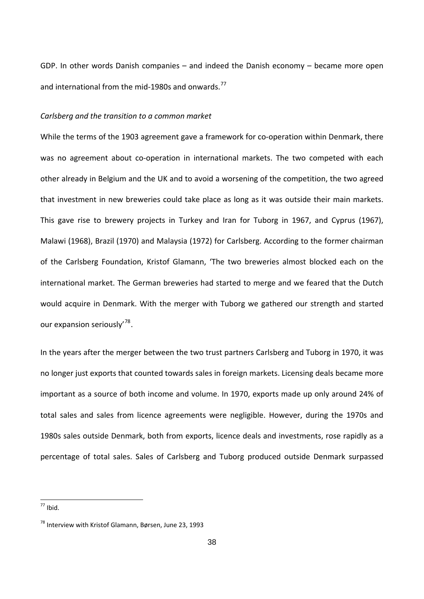GDP. In other words Danish companies – and indeed the Danish economy – became more open and international from the mid-1980s and onwards.<sup>[77](#page-37-0)</sup>

### *Carlsberg and the transition to a common market*

While the terms of the 1903 agreement gave a framework for co-operation within Denmark, there was no agreement about co-operation in international markets. The two competed with each other already in Belgium and the UK and to avoid a worsening of the competition, the two agreed that investment in new breweries could take place as long as it was outside their main markets. This gave rise to brewery projects in Turkey and Iran for Tuborg in 1967, and Cyprus (1967), Malawi (1968), Brazil (1970) and Malaysia (1972) for Carlsberg. According to the former chairman of the Carlsberg Foundation, Kristof Glamann, 'The two breweries almost blocked each on the international market. The German breweries had started to merge and we feared that the Dutch would acquire in Denmark. With the merger with Tuborg we gathered our strength and started our expansion seriously<sup>[78](#page-38-0)</sup>.

In the years after the merger between the two trust partners Carlsberg and Tuborg in 1970, it was no longer just exports that counted towards sales in foreign markets. Licensing deals became more important as a source of both income and volume. In 1970, exports made up only around 24% of total sales and sales from licence agreements were negligible. However, during the 1970s and 1980s sales outside Denmark, both from exports, licence deals and investments, rose rapidly as a percentage of total sales. Sales of Carlsberg and Tuborg produced outside Denmark surpassed

 $77$  Ibid.

<span id="page-37-0"></span> $^{78}$  Interview with Kristof Glamann, Børsen, June 23, 1993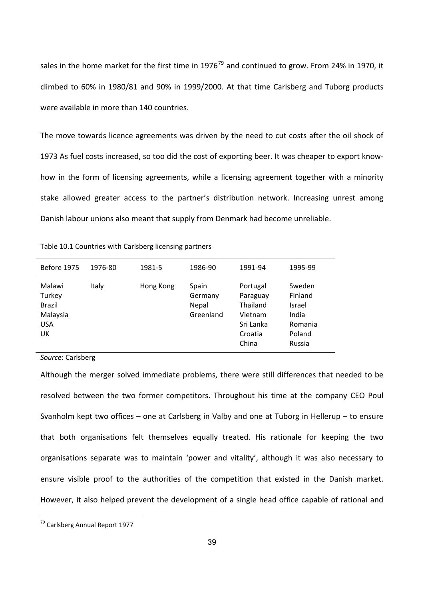sales in the home market for the first time in  $1976^{79}$  and continued to grow. From 24% in 1970, it climbed to 60% in 1980/81 and 90% in 1999/2000. At that time Carlsberg and Tuborg products were available in more than 140 countries.

The move towards licence agreements was driven by the need to cut costs after the oil shock of 1973 As fuel costs increased, so too did the cost of exporting beer. It was cheaper to export know‐ how in the form of licensing agreements, while a licensing agreement together with a minority stake allowed greater access to the partner's distribution network. Increasing unrest among Danish labour unions also meant that supply from Denmark had become unreliable.

| Table 10.1 Countries with Carlsberg licensing partners |  |  |
|--------------------------------------------------------|--|--|
|--------------------------------------------------------|--|--|

| Before 1975                                                       | 1976-80 | 1981-5    | 1986-90                                | 1991-94                                                                      | 1995-99                                                             |
|-------------------------------------------------------------------|---------|-----------|----------------------------------------|------------------------------------------------------------------------------|---------------------------------------------------------------------|
| Malawi<br>Turkey<br><b>Brazil</b><br>Malaysia<br><b>USA</b><br>UK | Italy   | Hong Kong | Spain<br>Germany<br>Nepal<br>Greenland | Portugal<br>Paraguay<br>Thailand<br>Vietnam<br>Sri Lanka<br>Croatia<br>China | Sweden<br>Finland<br>Israel<br>India<br>Romania<br>Poland<br>Russia |

*Source*: Carlsberg

Although the merger solved immediate problems, there were still differences that needed to be resolved between the two former competitors. Throughout his time at the company CEO Poul Svanholm kept two offices – one at Carlsberg in Valby and one at Tuborg in Hellerup – to ensure that both organisations felt themselves equally treated. His rationale for keeping the two organisations separate was to maintain 'power and vitality', although it was also necessary to ensure visible proof to the authorities of the competition that existed in the Danish market. However, it also helped prevent the development of a single head office capable of rational and

<span id="page-38-0"></span><sup>&</sup>lt;sup>79</sup> Carlsberg Annual Report 1977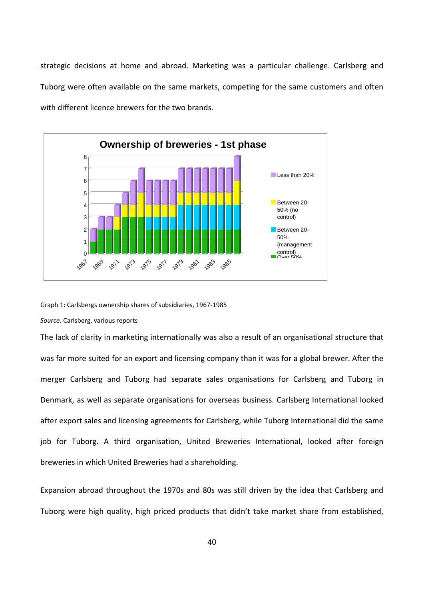strategic decisions at home and abroad. Marketing was a particular challenge. Carlsberg and Tuborg were often available on the same markets, competing for the same customers and often with different licence brewers for the two brands.



Graph 1: Carlsbergs ownership shares of subsidiaries, 1967‐1985

*Source:* Carlsberg, various reports

The lack of clarity in marketing internationally was also a result of an organisational structure that was far more suited for an export and licensing company than it was for a global brewer. After the merger Carlsberg and Tuborg had separate sales organisations for Carlsberg and Tuborg in Denmark, as well as separate organisations for overseas business. Carlsberg International looked after export sales and licensing agreements for Carlsberg, while Tuborg International did the same job for Tuborg. A third organisation, United Breweries International, looked after foreign breweries in which United Breweries had a shareholding.

Expansion abroad throughout the 1970s and 80s was still driven by the idea that Carlsberg and Tuborg were high quality, high priced products that didn't take market share from established,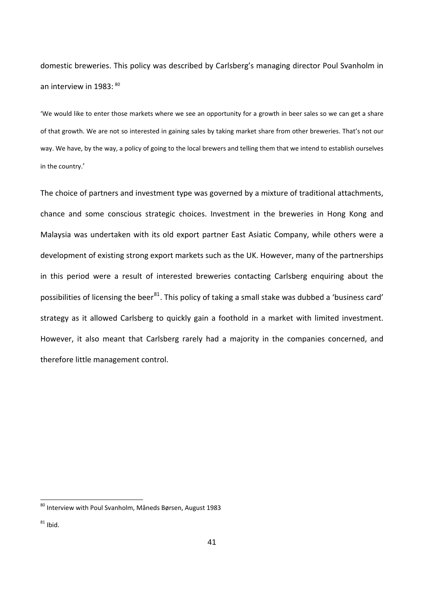domestic breweries. This policy was described by Carlsberg's managing director Poul Svanholm in an interview in 1983: 80

'We would like to enter those markets where we see an opportunity for a growth in beer sales so we can get a share of that growth. We are not so interested in gaining sales by taking market share from other breweries. That's not our way. We have, by the way, a policy of going to the local brewers and telling them that we intend to establish ourselves in the country.'

The choice of partners and investment type was governed by a mixture of traditional attachments, chance and some conscious strategic choices. Investment in the breweries in Hong Kong and Malaysia was undertaken with its old export partner East Asiatic Company, while others were a development of existing strong export markets such as the UK. However, many of the partnerships in this period were a result of interested breweries contacting Carlsberg enquiring about the possibilities of licensing the beer<sup>81</sup>. This policy of taking a small stake was dubbed a 'business card' strategy as it allowed Carlsberg to quickly gain a foothold in a market with limited investment. However, it also meant that Carlsberg rarely had a majority in the companies concerned, and therefore little management control.

<sup>&</sup>lt;sup>80</sup> Interview with Poul Svanholm, Måneds Børsen, August 1983

 $81$  Ibid.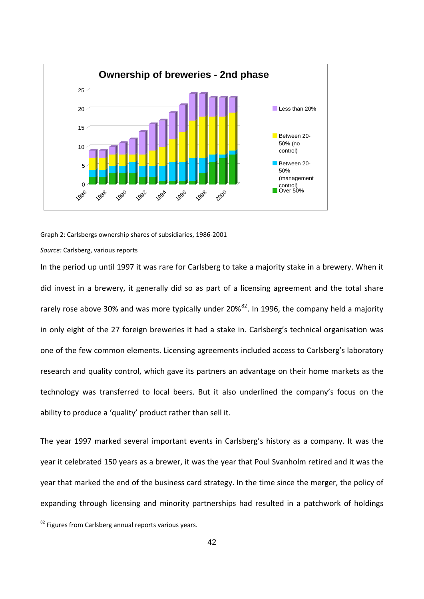

Graph 2: Carlsbergs ownership shares of subsidiaries, 1986‐2001

#### *Source:* Carlsberg, various reports

rarely rose above 30% and was more typically under 20%<sup>82</sup>. In 1996, the company held a majority In the period up until 1997 it was rare for Carlsberg to take a majority stake in a brewery. When it did invest in a brewery, it generally did so as part of a licensing agreement and the total share in only eight of the 27 foreign breweries it had a stake in. Carlsberg's technical organisation was one of the few common elements. Licensing agreements included access to Carlsberg's laboratory research and quality control, which gave its partners an advantage on their home markets as the technology was transferred to local beers. But it also underlined the company's focus on the ability to produce a 'quality' product rather than sell it.

The year 1997 marked several important events in Carlsberg's history as a company. It was the year it celebrated 150 years as a brewer, it was the year that Poul Svanholm retired and it was the year that marked the end of the business card strategy. In the time since the merger, the policy of expanding through licensing and minority partnerships had resulted in a patchwork of holdings

 $82$  Figures from Carlsberg annual reports various years.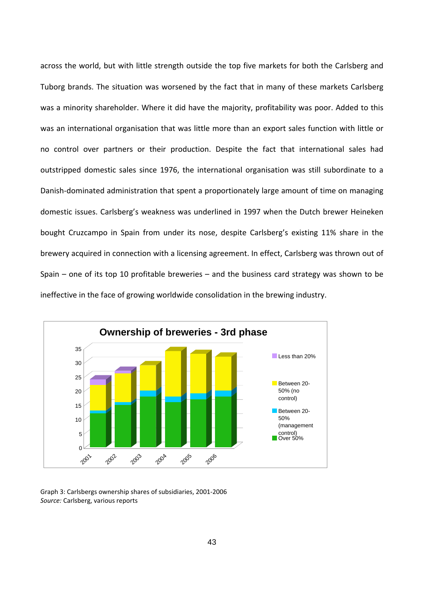was an international organisation that was little more than an export sales function with little or no control over partners or their production. Despite the fact that international sales had outstripped domestic sales since 1976, the international organisation was still subordinate to a Danish‐dominated administration that spent a proportionately large amount of time on managing domestic issues. Carlsberg's weakness was underlined in 1997 when the Dutch brewer Heineken bought Cruzcampo in Spain from under its nose, despite Carlsberg's existing 11% share in the brewery acquired in connection with a licensing agreement. In effect, Carlsberg was thrown out of Spain – one of its top 10 profitable breweries – and the business card strategy was shown to be ineffective in the face of growing worldwide consolidation in the brewing industry. across the world, but with little strength outside the top five markets for both the Carlsberg and Tuborg brands. The situation was worsened by the fact that in many of these markets Carlsberg was a minority shareholder. Where it did have the majority, profitability was poor. Added to this



*Source:* Carlsberg, various reports Graph 3: Carlsbergs ownership shares of subsidiaries, 2001‐2006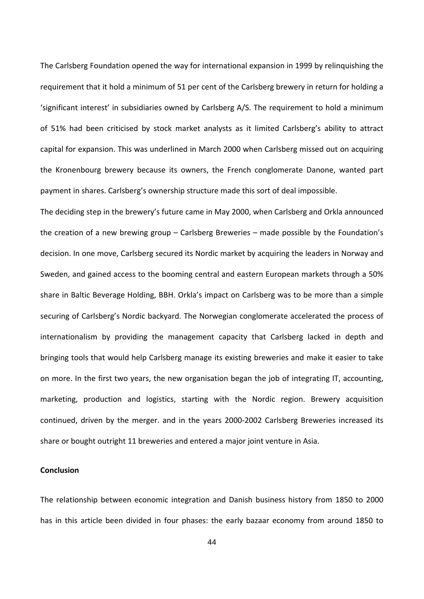The Carlsberg Foundation opened the way for international expansion in 1999 by relinquishing the requirement that it hold a minimum of 51 per cent of the Carlsberg brewery in return for holding a 'significant interest' in subsidiaries owned by Carlsberg A/S. The requirement to hold a minimum of 51% had been criticised by stock market analysts as it limited Carlsberg's ability to attract capital for expansion. This was underlined in March 2000 when Carlsberg missed out on acquiring the Kronenbourg brewery because its owners, the French conglomerate Danone, wanted part payment in shares. Carlsberg's ownership structure made this sort of deal impossible.

The deciding step in the brewery's future came in May 2000, when Carlsberg and Orkla announced decision. In one move, Carlsberg secured its Nordic market by acquiring the leaders in Norway and Sweden, and gained access to the booming central and eastern European markets through a 50% share in Baltic Beverage Holding, BBH. Orkla's impact on Carlsberg was to be more than a simple on more. In the first two years, the new organisation began the job of integrating IT, accounting, marketing, production and logistics, starting with the Nordic region. Brewery acquisition continued, driven by the merger. and in the years 2000‐2002 Carlsberg Breweries increased its share or bought outright 11 breweries and entered a major joint venture in Asia. the creation of a new brewing group – Carlsberg Breweries – made possible by the Foundation's securing of Carlsberg's Nordic backyard. The Norwegian conglomerate accelerated the process of internationalism by providing the management capacity that Carlsberg lacked in depth and bringing tools that would help Carlsberg manage its existing breweries and make it easier to take

#### **Conclusion**

The relationship between economic integration and Danish business history from 1850 to 2000 has in this article been divided in four phases: the early bazaar economy from around 1850 to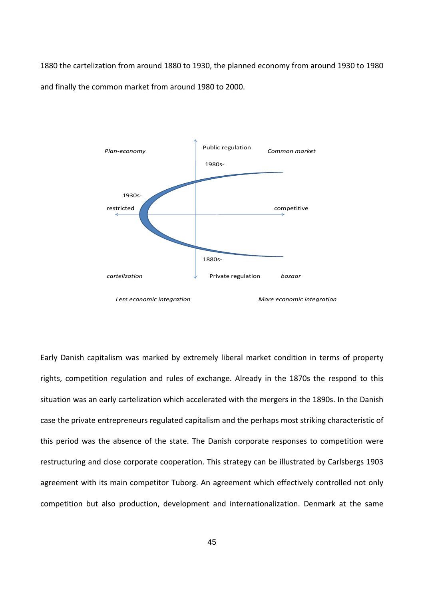1880 the cartelization from around 1880 to 1930, the planned economy from around 1930 to 1980 and finally the common market from around 1980 to 2000.



Early Danish capitalism was marked by extremely liberal market condition in terms of property rights, competition regulation and rules of exchange. Already in the 1870s the respond to this situation was an early cartelization which accelerated with the mergers in the 1890s. In the Danish case the private entrepreneurs regulated capitalism and the perhaps most striking characteristic of this period was the absence of the state. The Danish corporate responses to competition were restructuring and close corporate cooperation. This strategy can be illustrated by Carlsbergs 1903 agreement with its main competitor Tuborg. An agreement which effectively controlled not only competition but also production, development and internationalization. Denmark at the same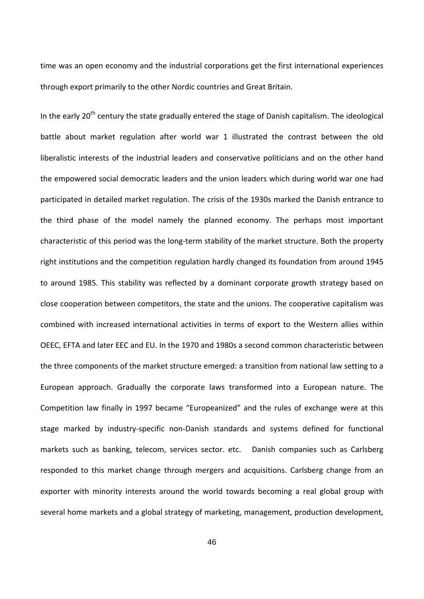time was an open economy and the industrial corporations get the first international experiences through export primarily to the other Nordic countries and Great Britain.

In the early 20<sup>th</sup> century the state gradually entered the stage of Danish capitalism. The ideological battle about market regulation after world war 1 illustrated the contrast between the old liberalistic interests of the industrial leaders and conservative politicians and on the other hand the empowered social democratic leaders and the union leaders which during world war one had participated in detailed market regulation. The crisis of the 1930s marked the Danish entrance to the third phase of the model namely the planned economy. The perhaps most important characteristic of this period was the long‐term stability of the market structure. Both the property right institutions and the competition regulation hardly changed its foundation from around 1945 to around 1985. This stability was reflected by a dominant corporate growth strategy based on close cooperation between competitors, the state and the unions. The cooperative capitalism was combined with increased international activities in terms of export to the Western allies within OEEC, EFTA and later EEC and EU. In the 1970 and 1980s a second common characteristic between the three components of the market structure emerged: a transition from national law setting to a European approach. Gradually the corporate laws transformed into a European nature. The Competition law finally in 1997 became "Europeanized" and the rules of exchange were at this stage marked by industry‐specific non‐Danish standards and systems defined for functional markets such as banking, telecom, services sector. etc. Danish companies such as Carlsberg responded to this market change through mergers and acquisitions. Carlsberg change from an exporter with minority interests around the world towards becoming a real global group with several home markets and a global strategy of marketing, management, production development,